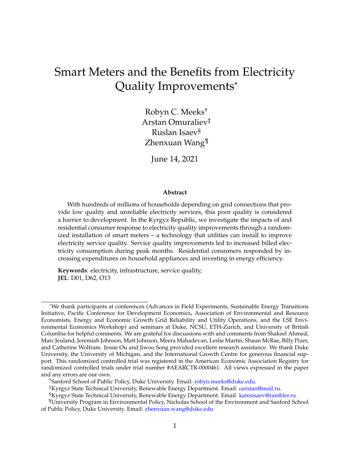# Smart Meters and the Benefits from Electricity Quality Improvements\*

Robyn C. Meeks† Arstan Omuraliev‡ Ruslan Isaev§ Zhenxuan Wang¶

June 14, 2021

#### **Abstract**

With hundreds of millions of households depending on grid connections that provide low quality and unreliable electricity services, this poor quality is considered a barrier to development. In the Kyrgyz Republic, we investigate the impacts of and residential consumer response to electricity quality improvements through a randomized installation of smart meters – a technology that utilities can install to improve electricity service quality. Service quality improvements led to increased billed electricity consumption during peak months. Residential consumers responded by increasing expenditures on household appliances and investing in energy efficiency.

**Keywords**: electricity, infrastructure, service quality, **JEL**: D01, D62, O13

†Sanford School of Public Policy, Duke University. Email: [robyn.meeks@duke.edu.](mailto:robyn.meeks@duke.edu)

<sup>\*</sup>We thank participants at conferences (Advances in Field Experiments, Sustainable Energy Transitions Initiative, Pacific Conference for Development Economics, Association of Environmental and Resource Economists, Energy and Economic Growth Grid Reliability and Utility Operations, and the LSE Environmental Economics Workshop) and seminars at Duke, NCSU, ETH-Zurich, and University of British Columbia for helpful comments. We are grateful for discussions with and comments from Shakeel Ahmed, Marc Jeuland, Jeremiah Johnson, Matt Johnson, Meera Mahadevan, Leslie Martin, Shaun McRae, Billy Pizer, and Catherine Wolfram. Jessie Ou and Jiwoo Song provided excellent research assistance. We thank Duke University, the University of Michigan, and the International Growth Centre for generous financial support. This randomized controlled trial was registered in the American Economic Association Registry for randomized controlled trials under trial number #AEARCTR-0000461. All views expressed in the paper and any errors are our own.

<sup>‡</sup>Kyrgyz State Technical University, Renewable Energy Department. Email: [oarstan@mail.ru.](mailto:oarstan@mail.ru)

<sup>§</sup>Kyrgyz State Technical University, Renewable Energy Department. Email: [karesisaev@rambler.ru](mailto:karesisaev@rambler.ru)

<sup>¶</sup>University Program in Environmental Policy, Nicholas School of the Environment and Sanford School of Public Policy, Duke University. Email: [zhenxuan.wang@duke.edu](mailto:zhenxuan.wang@duke.edu)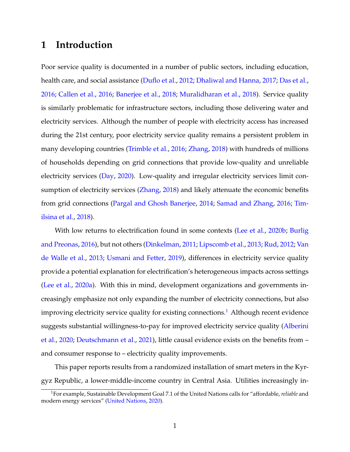## **1 Introduction**

Poor service quality is documented in a number of public sectors, including education, health care, and social assistance [\(Duflo et al.,](#page-30-0) [2012;](#page-30-0) [Dhaliwal and Hanna,](#page-29-0) [2017;](#page-29-0) [Das et al.,](#page-29-1) [2016;](#page-29-1) [Callen et al.,](#page-29-2) [2016;](#page-29-2) [Banerjee et al.,](#page-29-3) [2018;](#page-29-3) [Muralidharan et al.,](#page-31-0) [2018\)](#page-31-0). Service quality is similarly problematic for infrastructure sectors, including those delivering water and electricity services. Although the number of people with electricity access has increased during the 21st century, poor electricity service quality remains a persistent problem in many developing countries [\(Trimble et al.,](#page-31-1) [2016;](#page-31-1) [Zhang,](#page-32-0) [2018\)](#page-32-0) with hundreds of millions of households depending on grid connections that provide low-quality and unreliable electricity services [\(Day,](#page-29-4) [2020\)](#page-29-4). Low-quality and irregular electricity services limit con-sumption of electricity services [\(Zhang,](#page-32-0) [2018\)](#page-32-0) and likely attenuate the economic benefits from grid connections [\(Pargal and Ghosh Banerjee,](#page-31-2) [2014;](#page-31-2) [Samad and Zhang,](#page-31-3) [2016;](#page-31-3) [Tim](#page-31-4)[ilsina et al.,](#page-31-4) [2018\)](#page-31-4).

With low returns to electrification found in some contexts [\(Lee et al.,](#page-30-1) [2020b;](#page-30-1) [Burlig](#page-29-5) [and Preonas,](#page-29-5) [2016\)](#page-29-5), but not others [\(Dinkelman,](#page-30-2) [2011;](#page-30-2) [Lipscomb et al.,](#page-30-3) [2013;](#page-30-3) [Rud,](#page-31-5) [2012;](#page-31-5) [Van](#page-32-1) [de Walle et al.,](#page-32-1) [2013;](#page-32-1) [Usmani and Fetter,](#page-32-2) [2019\)](#page-32-2), differences in electricity service quality provide a potential explanation for electrification's heterogeneous impacts across settings [\(Lee et al.,](#page-30-4) [2020a\)](#page-30-4). With this in mind, development organizations and governments increasingly emphasize not only expanding the number of electricity connections, but also improving electricity service quality for existing connections.<sup>[1](#page-1-0)</sup> Although recent evidence suggests substantial willingness-to-pay for improved electricity service quality [\(Alberini](#page-29-6) [et al.,](#page-29-6) [2020;](#page-29-6) [Deutschmann et al.,](#page-29-7) [2021\)](#page-29-7), little causal evidence exists on the benefits from – and consumer response to – electricity quality improvements.

This paper reports results from a randomized installation of smart meters in the Kyrgyz Republic, a lower-middle-income country in Central Asia. Utilities increasingly in-

<span id="page-1-0"></span><sup>1</sup>For example, Sustainable Development Goal 7.1 of the United Nations calls for "affordable, *reliable* and modern energy services" [\(United Nations,](#page-31-6) [2020\)](#page-31-6).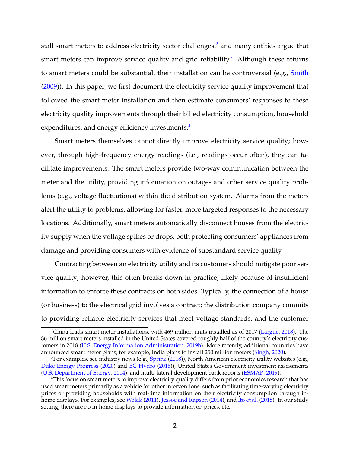stall smart meters to address electricity sector challenges,<sup>[2](#page-2-0)</sup> and many entities argue that smart meters can improve service quality and grid reliability.<sup>[3](#page-2-1)</sup> Although these returns to smart meters could be substantial, their installation can be controversial (e.g., [Smith](#page-31-7) [\(2009\)](#page-31-7)). In this paper, we first document the electricity service quality improvement that followed the smart meter installation and then estimate consumers' responses to these electricity quality improvements through their billed electricity consumption, household expenditures, and energy efficiency investments.<sup>[4](#page-2-2)</sup>

Smart meters themselves cannot directly improve electricity service quality; however, through high-frequency energy readings (i.e., readings occur often), they can facilitate improvements. The smart meters provide two-way communication between the meter and the utility, providing information on outages and other service quality problems (e.g., voltage fluctuations) within the distribution system. Alarms from the meters alert the utility to problems, allowing for faster, more targeted responses to the necessary locations. Additionally, smart meters automatically disconnect houses from the electricity supply when the voltage spikes or drops, both protecting consumers' appliances from damage and providing consumers with evidence of substandard service quality.

Contracting between an electricity utility and its customers should mitigate poor service quality; however, this often breaks down in practice, likely because of insufficient information to enforce these contracts on both sides. Typically, the connection of a house (or business) to the electrical grid involves a contract; the distribution company commits to providing reliable electricity services that meet voltage standards, and the customer

<span id="page-2-0"></span><sup>&</sup>lt;sup>2</sup>China leads smart meter installations, with 469 million units installed as of 2017 [\(Largue,](#page-30-5) [2018\)](#page-30-5). The 86 million smart meters installed in the United States covered roughly half of the country's electricity customers in 2018 [\(U.S. Energy Information Administration,](#page-32-3) [2019b\)](#page-32-3). More recently, additional countries have announced smart meter plans; for example, India plans to install 250 million meters [\(Singh,](#page-31-8) [2020\)](#page-31-8).

<span id="page-2-1"></span><sup>&</sup>lt;sup>3</sup>For examples, see industry news (e.g., [Sprinz](#page-31-9) [\(2018\)](#page-31-9)), North American electricity utility websites (e.g., [Duke Energy Progress](#page-30-6) [\(2020\)](#page-30-6) and [BC Hydro](#page-29-8) [\(2016\)](#page-29-8)), United States Government investment assessments [\(U.S. Department of Energy,](#page-32-4) [2014\)](#page-32-4), and multi-lateral development bank reports [\(ESMAP,](#page-30-7) [2019\)](#page-30-7).

<span id="page-2-2"></span><sup>&</sup>lt;sup>4</sup>This focus on smart meters to improve electricity quality differs from prior economics research that has used smart meters primarily as a vehicle for other interventions, such as facilitating time-varying electricity prices or providing households with real-time information on their electricity consumption through in-home displays. For examples, see [Wolak](#page-32-5) [\(2011\)](#page-32-5), [Jessoe and Rapson](#page-30-8) [\(2014\)](#page-30-8), and [Ito et al.](#page-30-9) [\(2018\)](#page-30-9). In our study setting, there are no in-home displays to provide information on prices, etc.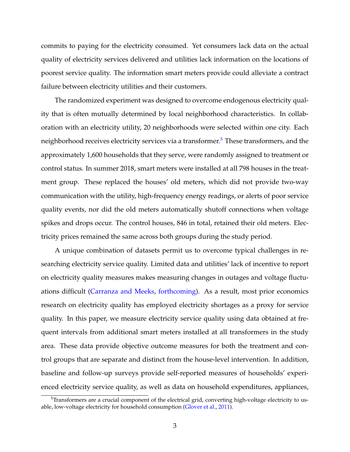commits to paying for the electricity consumed. Yet consumers lack data on the actual quality of electricity services delivered and utilities lack information on the locations of poorest service quality. The information smart meters provide could alleviate a contract failure between electricity utilities and their customers.

The randomized experiment was designed to overcome endogenous electricity quality that is often mutually determined by local neighborhood characteristics. In collaboration with an electricity utility, 20 neighborhoods were selected within one city. Each neighborhood receives electricity services via a transformer.<sup>[5](#page-3-0)</sup> These transformers, and the approximately 1,600 households that they serve, were randomly assigned to treatment or control status. In summer 2018, smart meters were installed at all 798 houses in the treatment group. These replaced the houses' old meters, which did not provide two-way communication with the utility, high-frequency energy readings, or alerts of poor service quality events, nor did the old meters automatically shutoff connections when voltage spikes and drops occur. The control houses, 846 in total, retained their old meters. Electricity prices remained the same across both groups during the study period.

A unique combination of datasets permit us to overcome typical challenges in researching electricity service quality. Limited data and utilities' lack of incentive to report on electricity quality measures makes measuring changes in outages and voltage fluctuations difficult [\(Carranza and Meeks,](#page-29-9) [forthcoming\)](#page-29-9). As a result, most prior economics research on electricity quality has employed electricity shortages as a proxy for service quality. In this paper, we measure electricity service quality using data obtained at frequent intervals from additional smart meters installed at all transformers in the study area. These data provide objective outcome measures for both the treatment and control groups that are separate and distinct from the house-level intervention. In addition, baseline and follow-up surveys provide self-reported measures of households' experienced electricity service quality, as well as data on household expenditures, appliances,

<span id="page-3-0"></span> $5$ Transformers are a crucial component of the electrical grid, converting high-voltage electricity to usable, low-voltage electricity for household consumption [\(Glover et al.,](#page-30-10) [2011\)](#page-30-10).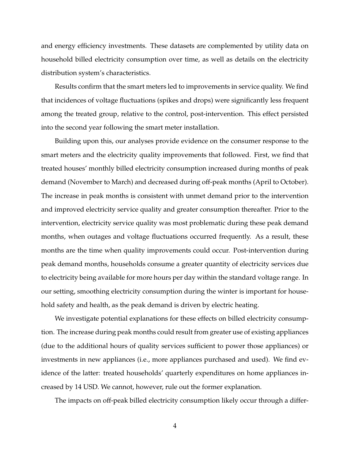and energy efficiency investments. These datasets are complemented by utility data on household billed electricity consumption over time, as well as details on the electricity distribution system's characteristics.

Results confirm that the smart meters led to improvements in service quality. We find that incidences of voltage fluctuations (spikes and drops) were significantly less frequent among the treated group, relative to the control, post-intervention. This effect persisted into the second year following the smart meter installation.

Building upon this, our analyses provide evidence on the consumer response to the smart meters and the electricity quality improvements that followed. First, we find that treated houses' monthly billed electricity consumption increased during months of peak demand (November to March) and decreased during off-peak months (April to October). The increase in peak months is consistent with unmet demand prior to the intervention and improved electricity service quality and greater consumption thereafter. Prior to the intervention, electricity service quality was most problematic during these peak demand months, when outages and voltage fluctuations occurred frequently. As a result, these months are the time when quality improvements could occur. Post-intervention during peak demand months, households consume a greater quantity of electricity services due to electricity being available for more hours per day within the standard voltage range. In our setting, smoothing electricity consumption during the winter is important for household safety and health, as the peak demand is driven by electric heating.

We investigate potential explanations for these effects on billed electricity consumption. The increase during peak months could result from greater use of existing appliances (due to the additional hours of quality services sufficient to power those appliances) or investments in new appliances (i.e., more appliances purchased and used). We find evidence of the latter: treated households' quarterly expenditures on home appliances increased by 14 USD. We cannot, however, rule out the former explanation.

The impacts on off-peak billed electricity consumption likely occur through a differ-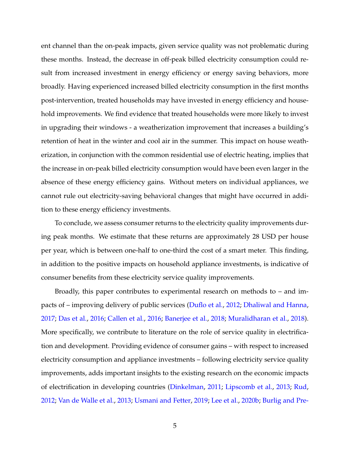ent channel than the on-peak impacts, given service quality was not problematic during these months. Instead, the decrease in off-peak billed electricity consumption could result from increased investment in energy efficiency or energy saving behaviors, more broadly. Having experienced increased billed electricity consumption in the first months post-intervention, treated households may have invested in energy efficiency and household improvements. We find evidence that treated households were more likely to invest in upgrading their windows - a weatherization improvement that increases a building's retention of heat in the winter and cool air in the summer. This impact on house weatherization, in conjunction with the common residential use of electric heating, implies that the increase in on-peak billed electricity consumption would have been even larger in the absence of these energy efficiency gains. Without meters on individual appliances, we cannot rule out electricity-saving behavioral changes that might have occurred in addition to these energy efficiency investments.

To conclude, we assess consumer returns to the electricity quality improvements during peak months. We estimate that these returns are approximately 28 USD per house per year, which is between one-half to one-third the cost of a smart meter. This finding, in addition to the positive impacts on household appliance investments, is indicative of consumer benefits from these electricity service quality improvements.

Broadly, this paper contributes to experimental research on methods to – and impacts of – improving delivery of public services [\(Duflo et al.,](#page-30-0) [2012;](#page-30-0) [Dhaliwal and Hanna,](#page-29-0) [2017;](#page-29-0) [Das et al.,](#page-29-1) [2016;](#page-29-1) [Callen et al.,](#page-29-2) [2016;](#page-29-2) [Banerjee et al.,](#page-29-3) [2018;](#page-29-3) [Muralidharan et al.,](#page-31-0) [2018\)](#page-31-0). More specifically, we contribute to literature on the role of service quality in electrification and development. Providing evidence of consumer gains – with respect to increased electricity consumption and appliance investments – following electricity service quality improvements, adds important insights to the existing research on the economic impacts of electrification in developing countries [\(Dinkelman,](#page-30-2) [2011;](#page-30-2) [Lipscomb et al.,](#page-30-3) [2013;](#page-30-3) [Rud,](#page-31-5) [2012;](#page-31-5) [Van de Walle et al.,](#page-32-1) [2013;](#page-32-1) [Usmani and Fetter,](#page-32-2) [2019;](#page-32-2) [Lee et al.,](#page-30-1) [2020b;](#page-30-1) [Burlig and Pre-](#page-29-5)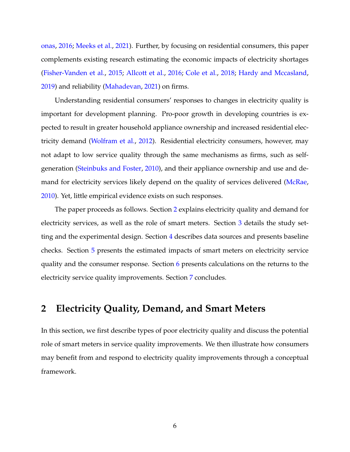[onas,](#page-29-5) [2016;](#page-29-5) [Meeks et al.,](#page-31-10) [2021\)](#page-31-10). Further, by focusing on residential consumers, this paper complements existing research estimating the economic impacts of electricity shortages [\(Fisher-Vanden et al.,](#page-30-11) [2015;](#page-30-11) [Allcott et al.,](#page-29-10) [2016;](#page-29-10) [Cole et al.,](#page-29-11) [2018;](#page-29-11) [Hardy and Mccasland,](#page-30-12) [2019\)](#page-30-12) and reliability [\(Mahadevan,](#page-30-13) [2021\)](#page-30-13) on firms.

Understanding residential consumers' responses to changes in electricity quality is important for development planning. Pro-poor growth in developing countries is expected to result in greater household appliance ownership and increased residential electricity demand [\(Wolfram et al.,](#page-32-6) [2012\)](#page-32-6). Residential electricity consumers, however, may not adapt to low service quality through the same mechanisms as firms, such as selfgeneration [\(Steinbuks and Foster,](#page-31-11) [2010\)](#page-31-11), and their appliance ownership and use and demand for electricity services likely depend on the quality of services delivered [\(McRae,](#page-31-12) [2010\)](#page-31-12). Yet, little empirical evidence exists on such responses.

The paper proceeds as follows. Section [2](#page-6-0) explains electricity quality and demand for electricity services, as well as the role of smart meters. Section [3](#page-11-0) details the study setting and the experimental design. Section [4](#page-14-0) describes data sources and presents baseline checks. Section [5](#page-18-0) presents the estimated impacts of smart meters on electricity service quality and the consumer response. Section [6](#page-24-0) presents calculations on the returns to the electricity service quality improvements. Section [7](#page-26-0) concludes.

## <span id="page-6-0"></span>**2 Electricity Quality, Demand, and Smart Meters**

In this section, we first describe types of poor electricity quality and discuss the potential role of smart meters in service quality improvements. We then illustrate how consumers may benefit from and respond to electricity quality improvements through a conceptual framework.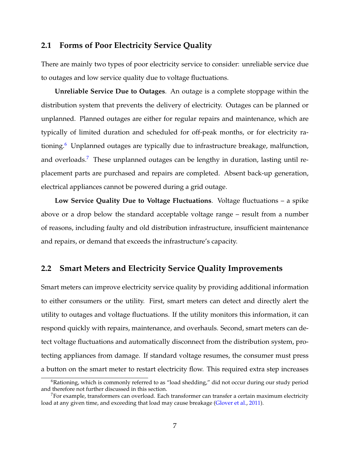## **2.1 Forms of Poor Electricity Service Quality**

There are mainly two types of poor electricity service to consider: unreliable service due to outages and low service quality due to voltage fluctuations.

**Unreliable Service Due to Outages**. An outage is a complete stoppage within the distribution system that prevents the delivery of electricity. Outages can be planned or unplanned. Planned outages are either for regular repairs and maintenance, which are typically of limited duration and scheduled for off-peak months, or for electricity ra-tioning.<sup>[6](#page-7-0)</sup> Unplanned outages are typically due to infrastructure breakage, malfunction, and overloads.<sup>[7](#page-7-1)</sup> These unplanned outages can be lengthy in duration, lasting until replacement parts are purchased and repairs are completed. Absent back-up generation, electrical appliances cannot be powered during a grid outage.

**Low Service Quality Due to Voltage Fluctuations**. Voltage fluctuations – a spike above or a drop below the standard acceptable voltage range – result from a number of reasons, including faulty and old distribution infrastructure, insufficient maintenance and repairs, or demand that exceeds the infrastructure's capacity.

## **2.2 Smart Meters and Electricity Service Quality Improvements**

Smart meters can improve electricity service quality by providing additional information to either consumers or the utility. First, smart meters can detect and directly alert the utility to outages and voltage fluctuations. If the utility monitors this information, it can respond quickly with repairs, maintenance, and overhauls. Second, smart meters can detect voltage fluctuations and automatically disconnect from the distribution system, protecting appliances from damage. If standard voltage resumes, the consumer must press a button on the smart meter to restart electricity flow. This required extra step increases

<span id="page-7-0"></span> $6R$ ationing, which is commonly referred to as "load shedding," did not occur during our study period and therefore not further discussed in this section.

<span id="page-7-1"></span> $^7$ For example, transformers can overload. Each transformer can transfer a certain maximum electricity load at any given time, and exceeding that load may cause breakage [\(Glover et al.,](#page-30-10) [2011\)](#page-30-10).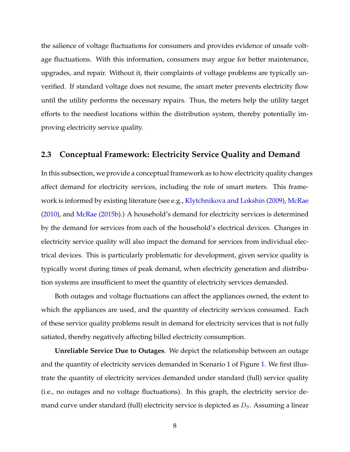the salience of voltage fluctuations for consumers and provides evidence of unsafe voltage fluctuations. With this information, consumers may argue for better maintenance, upgrades, and repair. Without it, their complaints of voltage problems are typically unverified. If standard voltage does not resume, the smart meter prevents electricity flow until the utility performs the necessary repairs. Thus, the meters help the utility target efforts to the neediest locations within the distribution system, thereby potentially improving electricity service quality.

## **2.3 Conceptual Framework: Electricity Service Quality and Demand**

In this subsection, we provide a conceptual framework as to how electricity quality changes affect demand for electricity services, including the role of smart meters. This framework is informed by existing literature (see e.g., [Klytchnikova and Lokshin](#page-30-14) [\(2009\)](#page-30-14), [McRae](#page-31-12) [\(2010\)](#page-31-12), and [McRae](#page-31-13) [\(2015b\)](#page-31-13).) A household's demand for electricity services is determined by the demand for services from each of the household's electrical devices. Changes in electricity service quality will also impact the demand for services from individual electrical devices. This is particularly problematic for development, given service quality is typically worst during times of peak demand, when electricity generation and distribution systems are insufficient to meet the quantity of electricity services demanded.

Both outages and voltage fluctuations can affect the appliances owned, the extent to which the appliances are used, and the quantity of electricity services consumed. Each of these service quality problems result in demand for electricity services that is not fully satiated, thereby negatively affecting billed electricity consumption.

**Unreliable Service Due to Outages**. We depict the relationship between an outage and the quantity of electricity services demanded in Scenario 1 of Figure [1.](#page-34-0) We first illustrate the quantity of electricity services demanded under standard (full) service quality (i.e., no outages and no voltage fluctuations). In this graph, the electricity service demand curve under standard (full) electricity service is depicted as  $D_s$ . Assuming a linear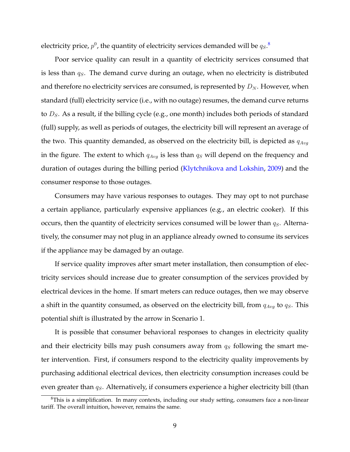electricity price,  $p^0$ , the quantity of electricity services demanded will be  $q_S.$   $^8$  $^8$ 

Poor service quality can result in a quantity of electricity services consumed that is less than  $q<sub>S</sub>$ . The demand curve during an outage, when no electricity is distributed and therefore no electricity services are consumed, is represented by  $D_N$ . However, when standard (full) electricity service (i.e., with no outage) resumes, the demand curve returns to  $D<sub>S</sub>$ . As a result, if the billing cycle (e.g., one month) includes both periods of standard (full) supply, as well as periods of outages, the electricity bill will represent an average of the two. This quantity demanded, as observed on the electricity bill, is depicted as  $q_{Avq}$ in the figure. The extent to which  $q_{Avg}$  is less than  $q_S$  will depend on the frequency and duration of outages during the billing period [\(Klytchnikova and Lokshin,](#page-30-14) [2009\)](#page-30-14) and the consumer response to those outages.

Consumers may have various responses to outages. They may opt to not purchase a certain appliance, particularly expensive appliances (e.g., an electric cooker). If this occurs, then the quantity of electricity services consumed will be lower than  $q_S$ . Alternatively, the consumer may not plug in an appliance already owned to consume its services if the appliance may be damaged by an outage.

If service quality improves after smart meter installation, then consumption of electricity services should increase due to greater consumption of the services provided by electrical devices in the home. If smart meters can reduce outages, then we may observe a shift in the quantity consumed, as observed on the electricity bill, from  $q_{Avq}$  to  $q_S$ . This potential shift is illustrated by the arrow in Scenario 1.

It is possible that consumer behavioral responses to changes in electricity quality and their electricity bills may push consumers away from  $q<sub>S</sub>$  following the smart meter intervention. First, if consumers respond to the electricity quality improvements by purchasing additional electrical devices, then electricity consumption increases could be even greater than  $q_S$ . Alternatively, if consumers experience a higher electricity bill (than

<span id="page-9-0"></span> $8$ This is a simplification. In many contexts, including our study setting, consumers face a non-linear tariff. The overall intuition, however, remains the same.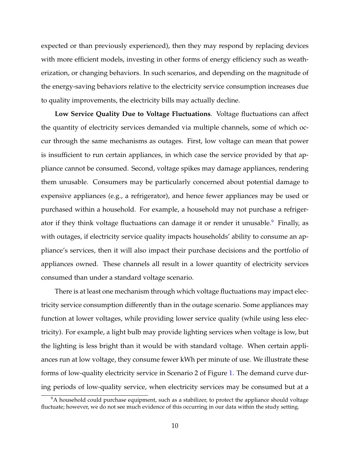expected or than previously experienced), then they may respond by replacing devices with more efficient models, investing in other forms of energy efficiency such as weatherization, or changing behaviors. In such scenarios, and depending on the magnitude of the energy-saving behaviors relative to the electricity service consumption increases due to quality improvements, the electricity bills may actually decline.

**Low Service Quality Due to Voltage Fluctuations**. Voltage fluctuations can affect the quantity of electricity services demanded via multiple channels, some of which occur through the same mechanisms as outages. First, low voltage can mean that power is insufficient to run certain appliances, in which case the service provided by that appliance cannot be consumed. Second, voltage spikes may damage appliances, rendering them unusable. Consumers may be particularly concerned about potential damage to expensive appliances (e.g., a refrigerator), and hence fewer appliances may be used or purchased within a household. For example, a household may not purchase a refriger-ator if they think voltage fluctuations can damage it or render it unusable.<sup>[9](#page-10-0)</sup> Finally, as with outages, if electricity service quality impacts households' ability to consume an appliance's services, then it will also impact their purchase decisions and the portfolio of appliances owned. These channels all result in a lower quantity of electricity services consumed than under a standard voltage scenario.

There is at least one mechanism through which voltage fluctuations may impact electricity service consumption differently than in the outage scenario. Some appliances may function at lower voltages, while providing lower service quality (while using less electricity). For example, a light bulb may provide lighting services when voltage is low, but the lighting is less bright than it would be with standard voltage. When certain appliances run at low voltage, they consume fewer kWh per minute of use. We illustrate these forms of low-quality electricity service in Scenario 2 of Figure [1.](#page-34-0) The demand curve during periods of low-quality service, when electricity services may be consumed but at a

<span id="page-10-0"></span> $9A$  household could purchase equipment, such as a stabilizer, to protect the appliance should voltage fluctuate; however, we do not see much evidence of this occurring in our data within the study setting.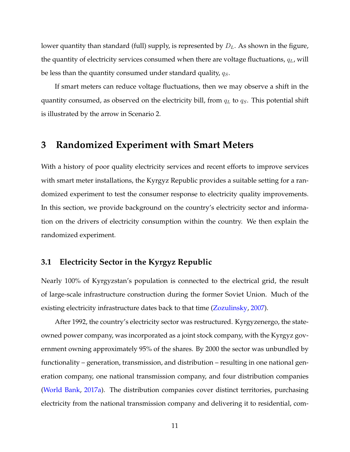lower quantity than standard (full) supply, is represented by  $D_L$ . As shown in the figure, the quantity of electricity services consumed when there are voltage fluctuations,  $q_L$ , will be less than the quantity consumed under standard quality,  $q_S$ .

If smart meters can reduce voltage fluctuations, then we may observe a shift in the quantity consumed, as observed on the electricity bill, from  $q_L$  to  $q_S$ . This potential shift is illustrated by the arrow in Scenario 2.

## <span id="page-11-0"></span>**3 Randomized Experiment with Smart Meters**

With a history of poor quality electricity services and recent efforts to improve services with smart meter installations, the Kyrgyz Republic provides a suitable setting for a randomized experiment to test the consumer response to electricity quality improvements. In this section, we provide background on the country's electricity sector and information on the drivers of electricity consumption within the country. We then explain the randomized experiment.

## **3.1 Electricity Sector in the Kyrgyz Republic**

Nearly 100% of Kyrgyzstan's population is connected to the electrical grid, the result of large-scale infrastructure construction during the former Soviet Union. Much of the existing electricity infrastructure dates back to that time [\(Zozulinsky,](#page-32-7) [2007\)](#page-32-7).

After 1992, the country's electricity sector was restructured. Kyrgyzenergo, the stateowned power company, was incorporated as a joint stock company, with the Kyrgyz government owning approximately 95% of the shares. By 2000 the sector was unbundled by functionality – generation, transmission, and distribution – resulting in one national generation company, one national transmission company, and four distribution companies [\(World Bank,](#page-32-8) [2017a\)](#page-32-8). The distribution companies cover distinct territories, purchasing electricity from the national transmission company and delivering it to residential, com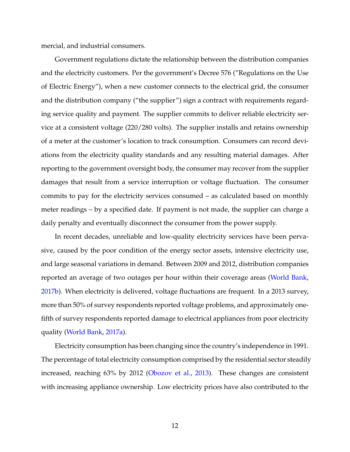mercial, and industrial consumers.

Government regulations dictate the relationship between the distribution companies and the electricity customers. Per the government's Decree 576 ("Regulations on the Use of Electric Energy"), when a new customer connects to the electrical grid, the consumer and the distribution company ("the supplier") sign a contract with requirements regarding service quality and payment. The supplier commits to deliver reliable electricity service at a consistent voltage (220/280 volts). The supplier installs and retains ownership of a meter at the customer's location to track consumption. Consumers can record deviations from the electricity quality standards and any resulting material damages. After reporting to the government oversight body, the consumer may recover from the supplier damages that result from a service interruption or voltage fluctuation. The consumer commits to pay for the electricity services consumed – as calculated based on monthly meter readings – by a specified date. If payment is not made, the supplier can charge a daily penalty and eventually disconnect the consumer from the power supply.

In recent decades, unreliable and low-quality electricity services have been pervasive, caused by the poor condition of the energy sector assets, intensive electricity use, and large seasonal variations in demand. Between 2009 and 2012, distribution companies reported an average of two outages per hour within their coverage areas [\(World Bank,](#page-32-9) [2017b\)](#page-32-9). When electricity is delivered, voltage fluctuations are frequent. In a 2013 survey, more than 50% of survey respondents reported voltage problems, and approximately onefifth of survey respondents reported damage to electrical appliances from poor electricity quality [\(World Bank,](#page-32-8) [2017a\)](#page-32-8).

Electricity consumption has been changing since the country's independence in 1991. The percentage of total electricity consumption comprised by the residential sector steadily increased, reaching 63% by 2012 [\(Obozov et al.,](#page-31-14) [2013\)](#page-31-14). These changes are consistent with increasing appliance ownership. Low electricity prices have also contributed to the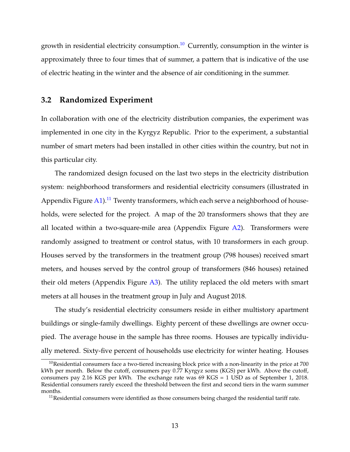growth in residential electricity consumption.<sup>[10](#page-13-0)</sup> Currently, consumption in the winter is approximately three to four times that of summer, a pattern that is indicative of the use of electric heating in the winter and the absence of air conditioning in the summer.

## **3.2 Randomized Experiment**

In collaboration with one of the electricity distribution companies, the experiment was implemented in one city in the Kyrgyz Republic. Prior to the experiment, a substantial number of smart meters had been installed in other cities within the country, but not in this particular city.

The randomized design focused on the last two steps in the electricity distribution system: neighborhood transformers and residential electricity consumers (illustrated in Appendix Figure [A1\)](#page-43-0).<sup>[11](#page-13-1)</sup> Twenty transformers, which each serve a neighborhood of households, were selected for the project. A map of the 20 transformers shows that they are all located within a two-square-mile area (Appendix Figure  $A2$ ). Transformers were randomly assigned to treatment or control status, with 10 transformers in each group. Houses served by the transformers in the treatment group (798 houses) received smart meters, and houses served by the control group of transformers (846 houses) retained their old meters (Appendix Figure [A3\)](#page-45-0). The utility replaced the old meters with smart meters at all houses in the treatment group in July and August 2018.

The study's residential electricity consumers reside in either multistory apartment buildings or single-family dwellings. Eighty percent of these dwellings are owner occupied. The average house in the sample has three rooms. Houses are typically individually metered. Sixty-five percent of households use electricity for winter heating. Houses

<span id="page-13-0"></span> $10$ Residential consumers face a two-tiered increasing block price with a non-linearity in the price at 700 kWh per month. Below the cutoff, consumers pay 0.77 Kyrgyz soms (KGS) per kWh. Above the cutoff, consumers pay 2.16 KGS per kWh. The exchange rate was 69 KGS = 1 USD as of September 1, 2018. Residential consumers rarely exceed the threshold between the first and second tiers in the warm summer months.

<span id="page-13-1"></span> $11$ Residential consumers were identified as those consumers being charged the residential tariff rate.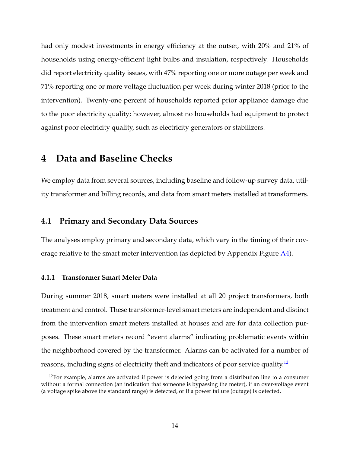had only modest investments in energy efficiency at the outset, with 20% and 21% of households using energy-efficient light bulbs and insulation, respectively. Households did report electricity quality issues, with 47% reporting one or more outage per week and 71% reporting one or more voltage fluctuation per week during winter 2018 (prior to the intervention). Twenty-one percent of households reported prior appliance damage due to the poor electricity quality; however, almost no households had equipment to protect against poor electricity quality, such as electricity generators or stabilizers.

## <span id="page-14-0"></span>**4 Data and Baseline Checks**

We employ data from several sources, including baseline and follow-up survey data, utility transformer and billing records, and data from smart meters installed at transformers.

### **4.1 Primary and Secondary Data Sources**

The analyses employ primary and secondary data, which vary in the timing of their cov-erage relative to the smart meter intervention (as depicted by Appendix Figure [A4\)](#page-46-0).

#### **4.1.1 Transformer Smart Meter Data**

During summer 2018, smart meters were installed at all 20 project transformers, both treatment and control. These transformer-level smart meters are independent and distinct from the intervention smart meters installed at houses and are for data collection purposes. These smart meters record "event alarms" indicating problematic events within the neighborhood covered by the transformer. Alarms can be activated for a number of reasons, including signs of electricity theft and indicators of poor service quality.<sup>[12](#page-14-1)</sup>

<span id="page-14-1"></span> $12$ For example, alarms are activated if power is detected going from a distribution line to a consumer without a formal connection (an indication that someone is bypassing the meter), if an over-voltage event (a voltage spike above the standard range) is detected, or if a power failure (outage) is detected.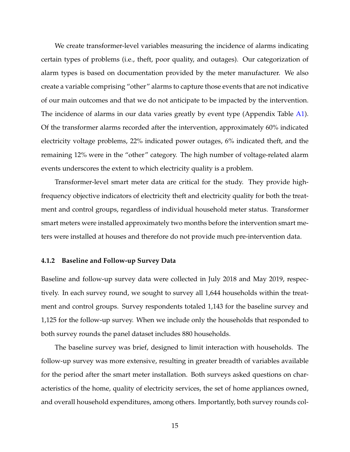We create transformer-level variables measuring the incidence of alarms indicating certain types of problems (i.e., theft, poor quality, and outages). Our categorization of alarm types is based on documentation provided by the meter manufacturer. We also create a variable comprising "other" alarms to capture those events that are not indicative of our main outcomes and that we do not anticipate to be impacted by the intervention. The incidence of alarms in our data varies greatly by event type (Appendix Table [A1\)](#page-47-0). Of the transformer alarms recorded after the intervention, approximately 60% indicated electricity voltage problems, 22% indicated power outages, 6% indicated theft, and the remaining 12% were in the "other" category. The high number of voltage-related alarm events underscores the extent to which electricity quality is a problem.

Transformer-level smart meter data are critical for the study. They provide highfrequency objective indicators of electricity theft and electricity quality for both the treatment and control groups, regardless of individual household meter status. Transformer smart meters were installed approximately two months before the intervention smart meters were installed at houses and therefore do not provide much pre-intervention data.

#### **4.1.2 Baseline and Follow-up Survey Data**

Baseline and follow-up survey data were collected in July 2018 and May 2019, respectively. In each survey round, we sought to survey all 1,644 households within the treatment and control groups. Survey respondents totaled 1,143 for the baseline survey and 1,125 for the follow-up survey. When we include only the households that responded to both survey rounds the panel dataset includes 880 households.

The baseline survey was brief, designed to limit interaction with households. The follow-up survey was more extensive, resulting in greater breadth of variables available for the period after the smart meter installation. Both surveys asked questions on characteristics of the home, quality of electricity services, the set of home appliances owned, and overall household expenditures, among others. Importantly, both survey rounds col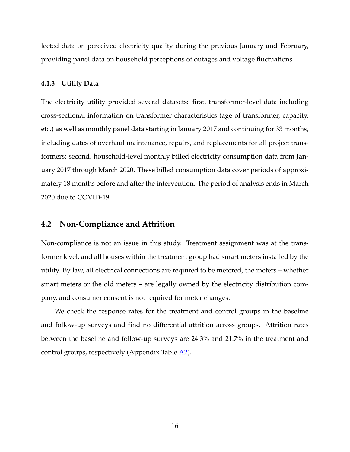lected data on perceived electricity quality during the previous January and February, providing panel data on household perceptions of outages and voltage fluctuations.

#### **4.1.3 Utility Data**

The electricity utility provided several datasets: first, transformer-level data including cross-sectional information on transformer characteristics (age of transformer, capacity, etc.) as well as monthly panel data starting in January 2017 and continuing for 33 months, including dates of overhaul maintenance, repairs, and replacements for all project transformers; second, household-level monthly billed electricity consumption data from January 2017 through March 2020. These billed consumption data cover periods of approximately 18 months before and after the intervention. The period of analysis ends in March 2020 due to COVID-19.

### **4.2 Non-Compliance and Attrition**

Non-compliance is not an issue in this study. Treatment assignment was at the transformer level, and all houses within the treatment group had smart meters installed by the utility. By law, all electrical connections are required to be metered, the meters – whether smart meters or the old meters – are legally owned by the electricity distribution company, and consumer consent is not required for meter changes.

We check the response rates for the treatment and control groups in the baseline and follow-up surveys and find no differential attrition across groups. Attrition rates between the baseline and follow-up surveys are 24.3% and 21.7% in the treatment and control groups, respectively (Appendix Table [A2\)](#page-48-0).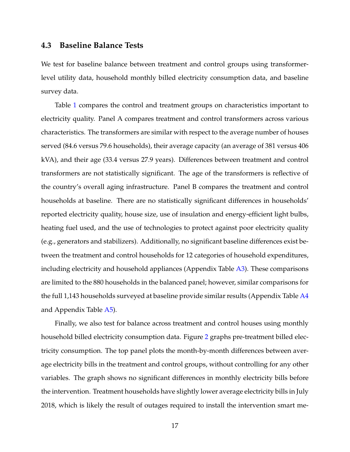### **4.3 Baseline Balance Tests**

We test for baseline balance between treatment and control groups using transformerlevel utility data, household monthly billed electricity consumption data, and baseline survey data.

Table [1](#page-35-0) compares the control and treatment groups on characteristics important to electricity quality. Panel A compares treatment and control transformers across various characteristics. The transformers are similar with respect to the average number of houses served (84.6 versus 79.6 households), their average capacity (an average of 381 versus 406 kVA), and their age (33.4 versus 27.9 years). Differences between treatment and control transformers are not statistically significant. The age of the transformers is reflective of the country's overall aging infrastructure. Panel B compares the treatment and control households at baseline. There are no statistically significant differences in households' reported electricity quality, house size, use of insulation and energy-efficient light bulbs, heating fuel used, and the use of technologies to protect against poor electricity quality (e.g., generators and stabilizers). Additionally, no significant baseline differences exist between the treatment and control households for 12 categories of household expenditures, including electricity and household appliances (Appendix Table [A3\)](#page-49-0). These comparisons are limited to the 880 households in the balanced panel; however, similar comparisons for the full 1,143 households surveyed at baseline provide similar results (Appendix Table [A4](#page-50-0) and Appendix Table [A5\)](#page-51-0).

Finally, we also test for balance across treatment and control houses using monthly household billed electricity consumption data. Figure [2](#page-36-0) graphs pre-treatment billed electricity consumption. The top panel plots the month-by-month differences between average electricity bills in the treatment and control groups, without controlling for any other variables. The graph shows no significant differences in monthly electricity bills before the intervention. Treatment households have slightly lower average electricity bills in July 2018, which is likely the result of outages required to install the intervention smart me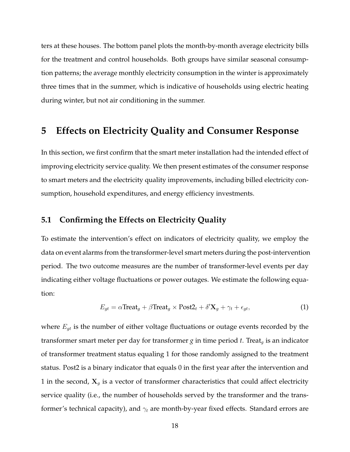ters at these houses. The bottom panel plots the month-by-month average electricity bills for the treatment and control households. Both groups have similar seasonal consumption patterns; the average monthly electricity consumption in the winter is approximately three times that in the summer, which is indicative of households using electric heating during winter, but not air conditioning in the summer.

## <span id="page-18-0"></span>**5 Effects on Electricity Quality and Consumer Response**

In this section, we first confirm that the smart meter installation had the intended effect of improving electricity service quality. We then present estimates of the consumer response to smart meters and the electricity quality improvements, including billed electricity consumption, household expenditures, and energy efficiency investments.

### <span id="page-18-1"></span>**5.1 Confirming the Effects on Electricity Quality**

To estimate the intervention's effect on indicators of electricity quality, we employ the data on event alarms from the transformer-level smart meters during the post-intervention period. The two outcome measures are the number of transformer-level events per day indicating either voltage fluctuations or power outages. We estimate the following equation:

$$
E_{gt} = \alpha \text{Treeat}_g + \beta \text{Treeat}_g \times \text{Post2}_t + \delta' \mathbf{X}_g + \gamma_t + \epsilon_{gt}, \tag{1}
$$

where  $E_{gt}$  is the number of either voltage fluctuations or outage events recorded by the transformer smart meter per day for transformer  $g$  in time period  $t$ . Treat<sub>q</sub> is an indicator of transformer treatment status equaling 1 for those randomly assigned to the treatment status. Post2 is a binary indicator that equals 0 in the first year after the intervention and 1 in the second,  $X_g$  is a vector of transformer characteristics that could affect electricity service quality (i.e., the number of households served by the transformer and the transformer's technical capacity), and  $\gamma_t$  are month-by-year fixed effects. Standard errors are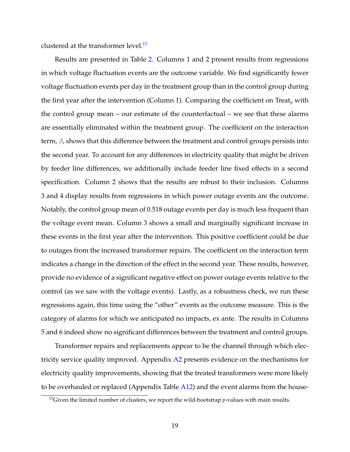clustered at the transformer level.<sup>[13](#page-19-0)</sup>

Results are presented in Table [2.](#page-37-0) Columns 1 and 2 present results from regressions in which voltage fluctuation events are the outcome variable. We find significantly fewer voltage fluctuation events per day in the treatment group than in the control group during the first year after the intervention (Column 1). Comparing the coefficient on Treat<sub>a</sub> with the control group mean – our estimate of the counterfactual – we see that these alarms are essentially eliminated within the treatment group. The coefficient on the interaction term,  $\beta$ , shows that this difference between the treatment and control groups persists into the second year. To account for any differences in electricity quality that might be driven by feeder line differences, we additionally include feeder line fixed effects in a second specification. Column 2 shows that the results are robust to their inclusion. Columns 3 and 4 display results from regressions in which power outage events are the outcome. Notably, the control group mean of 0.518 outage events per day is much less frequent than the voltage event mean. Column 3 shows a small and marginally significant increase in these events in the first year after the intervention. This positive coefficient could be due to outages from the increased transformer repairs. The coefficient on the interaction term indicates a change in the direction of the effect in the second year. These results, however, provide no evidence of a significant negative effect on power outage events relative to the control (as we saw with the voltage events). Lastly, as a robustness check, we run these regressions again, this time using the "other" events as the outcome measure. This is the category of alarms for which we anticipated no impacts, ex ante. The results in Columns 5 and 6 indeed show no significant differences between the treatment and control groups.

Transformer repairs and replacements appear to be the channel through which electricity service quality improved. Appendix [A2](#page-58-0) presents evidence on the mechanisms for electricity quality improvements, showing that the treated transformers were more likely to be overhauled or replaced (Appendix Table [A12\)](#page-60-0) and the event alarms from the house-

<span id="page-19-0"></span><sup>13</sup>Given the limited number of clusters, we report the wild-bootstrap *p*-values with main results.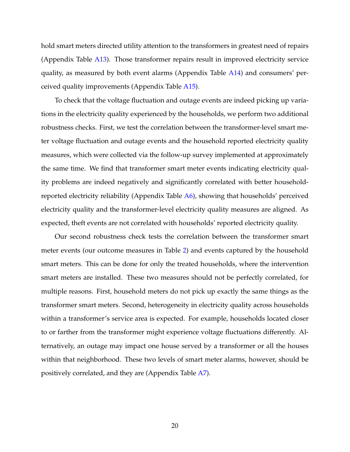hold smart meters directed utility attention to the transformers in greatest need of repairs (Appendix Table [A13\)](#page-61-0). Those transformer repairs result in improved electricity service quality, as measured by both event alarms (Appendix Table [A14\)](#page-62-0) and consumers' perceived quality improvements (Appendix Table [A15\)](#page-63-0).

To check that the voltage fluctuation and outage events are indeed picking up variations in the electricity quality experienced by the households, we perform two additional robustness checks. First, we test the correlation between the transformer-level smart meter voltage fluctuation and outage events and the household reported electricity quality measures, which were collected via the follow-up survey implemented at approximately the same time. We find that transformer smart meter events indicating electricity quality problems are indeed negatively and significantly correlated with better householdreported electricity reliability (Appendix Table [A6\)](#page-52-0), showing that households' perceived electricity quality and the transformer-level electricity quality measures are aligned. As expected, theft events are not correlated with households' reported electricity quality.

Our second robustness check tests the correlation between the transformer smart meter events (our outcome measures in Table [2\)](#page-37-0) and events captured by the household smart meters. This can be done for only the treated households, where the intervention smart meters are installed. These two measures should not be perfectly correlated, for multiple reasons. First, household meters do not pick up exactly the same things as the transformer smart meters. Second, heterogeneity in electricity quality across households within a transformer's service area is expected. For example, households located closer to or farther from the transformer might experience voltage fluctuations differently. Alternatively, an outage may impact one house served by a transformer or all the houses within that neighborhood. These two levels of smart meter alarms, however, should be positively correlated, and they are (Appendix Table [A7\)](#page-53-0).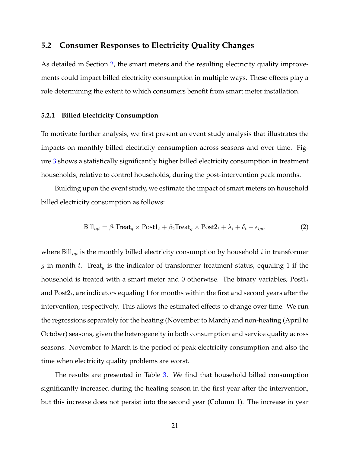## **5.2 Consumer Responses to Electricity Quality Changes**

As detailed in Section [2,](#page-6-0) the smart meters and the resulting electricity quality improvements could impact billed electricity consumption in multiple ways. These effects play a role determining the extent to which consumers benefit from smart meter installation.

#### **5.2.1 Billed Electricity Consumption**

To motivate further analysis, we first present an event study analysis that illustrates the impacts on monthly billed electricity consumption across seasons and over time. Figure [3](#page-38-0) shows a statistically significantly higher billed electricity consumption in treatment households, relative to control households, during the post-intervention peak months.

Building upon the event study, we estimate the impact of smart meters on household billed electricity consumption as follows:

$$
\text{Bill}_{igt} = \beta_1 \text{Treeat}_g \times \text{Post1}_t + \beta_2 \text{Treeat}_g \times \text{Post2}_t + \lambda_i + \delta_t + \epsilon_{igt},\tag{2}
$$

where  $\text{Bill}_{\text{int}}$  is the monthly billed electricity consumption by household i in transformer g in month t. Treat<sub>g</sub> is the indicator of transformer treatment status, equaling 1 if the household is treated with a smart meter and 0 otherwise. The binary variables,  $Post1<sub>t</sub>$ and Post2 $_t$ , are indicators equaling 1 for months within the first and second years after the intervention, respectively. This allows the estimated effects to change over time. We run the regressions separately for the heating (November to March) and non-heating (April to October) seasons, given the heterogeneity in both consumption and service quality across seasons. November to March is the period of peak electricity consumption and also the time when electricity quality problems are worst.

The results are presented in Table [3.](#page-39-0) We find that household billed consumption significantly increased during the heating season in the first year after the intervention, but this increase does not persist into the second year (Column 1). The increase in year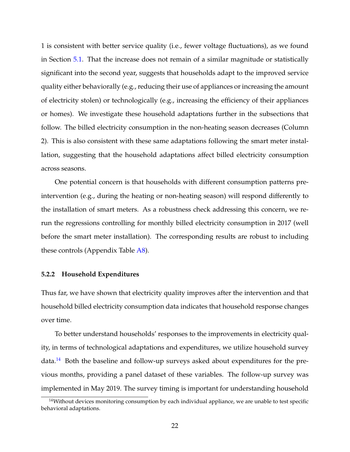1 is consistent with better service quality (i.e., fewer voltage fluctuations), as we found in Section [5.1.](#page-18-1) That the increase does not remain of a similar magnitude or statistically significant into the second year, suggests that households adapt to the improved service quality either behaviorally (e.g., reducing their use of appliances or increasing the amount of electricity stolen) or technologically (e.g., increasing the efficiency of their appliances or homes). We investigate these household adaptations further in the subsections that follow. The billed electricity consumption in the non-heating season decreases (Column 2). This is also consistent with these same adaptations following the smart meter installation, suggesting that the household adaptations affect billed electricity consumption across seasons.

One potential concern is that households with different consumption patterns preintervention (e.g., during the heating or non-heating season) will respond differently to the installation of smart meters. As a robustness check addressing this concern, we rerun the regressions controlling for monthly billed electricity consumption in 2017 (well before the smart meter installation). The corresponding results are robust to including these controls (Appendix Table [A8\)](#page-54-0).

#### **5.2.2 Household Expenditures**

Thus far, we have shown that electricity quality improves after the intervention and that household billed electricity consumption data indicates that household response changes over time.

To better understand households' responses to the improvements in electricity quality, in terms of technological adaptations and expenditures, we utilize household survey  $data<sup>14</sup>$  $data<sup>14</sup>$  $data<sup>14</sup>$  Both the baseline and follow-up surveys asked about expenditures for the previous months, providing a panel dataset of these variables. The follow-up survey was implemented in May 2019. The survey timing is important for understanding household

<span id="page-22-0"></span><sup>&</sup>lt;sup>14</sup>Without devices monitoring consumption by each individual appliance, we are unable to test specific behavioral adaptations.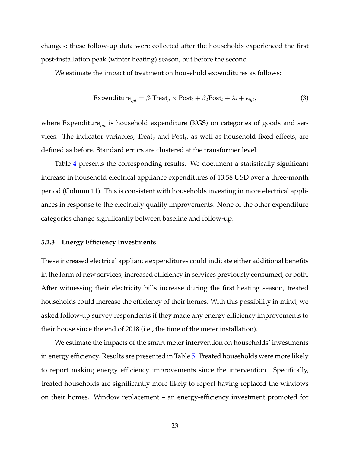changes; these follow-up data were collected after the households experienced the first post-installation peak (winter heating) season, but before the second.

We estimate the impact of treatment on household expenditures as follows:

$$
\text{Expenditure}_{igt} = \beta_1 \text{Treat}_g \times \text{Post}_t + \beta_2 \text{Post}_t + \lambda_i + \epsilon_{igt},\tag{3}
$$

where Expenditure $_{iat}$  is household expenditure (KGS) on categories of goods and services. The indicator variables, Treat<sub>g</sub> and Post<sub>t</sub>, as well as household fixed effects, are defined as before. Standard errors are clustered at the transformer level.

Table [4](#page-40-0) presents the corresponding results. We document a statistically significant increase in household electrical appliance expenditures of 13.58 USD over a three-month period (Column 11). This is consistent with households investing in more electrical appliances in response to the electricity quality improvements. None of the other expenditure categories change significantly between baseline and follow-up.

#### **5.2.3 Energy Efficiency Investments**

These increased electrical appliance expenditures could indicate either additional benefits in the form of new services, increased efficiency in services previously consumed, or both. After witnessing their electricity bills increase during the first heating season, treated households could increase the efficiency of their homes. With this possibility in mind, we asked follow-up survey respondents if they made any energy efficiency improvements to their house since the end of 2018 (i.e., the time of the meter installation).

We estimate the impacts of the smart meter intervention on households' investments in energy efficiency. Results are presented in Table [5.](#page-41-0) Treated households were more likely to report making energy efficiency improvements since the intervention. Specifically, treated households are significantly more likely to report having replaced the windows on their homes. Window replacement – an energy-efficiency investment promoted for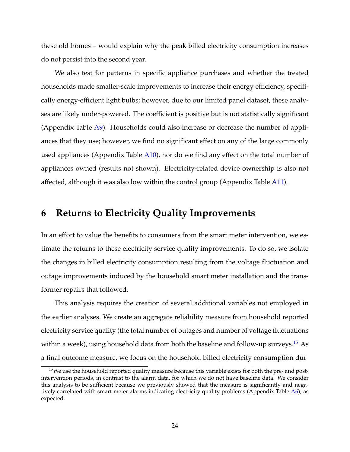these old homes – would explain why the peak billed electricity consumption increases do not persist into the second year.

We also test for patterns in specific appliance purchases and whether the treated households made smaller-scale improvements to increase their energy efficiency, specifically energy-efficient light bulbs; however, due to our limited panel dataset, these analyses are likely under-powered. The coefficient is positive but is not statistically significant (Appendix Table [A9\)](#page-55-0). Households could also increase or decrease the number of appliances that they use; however, we find no significant effect on any of the large commonly used appliances (Appendix Table [A10\)](#page-56-0), nor do we find any effect on the total number of appliances owned (results not shown). Electricity-related device ownership is also not affected, although it was also low within the control group (Appendix Table [A11\)](#page-57-0).

## <span id="page-24-0"></span>**6 Returns to Electricity Quality Improvements**

In an effort to value the benefits to consumers from the smart meter intervention, we estimate the returns to these electricity service quality improvements. To do so, we isolate the changes in billed electricity consumption resulting from the voltage fluctuation and outage improvements induced by the household smart meter installation and the transformer repairs that followed.

This analysis requires the creation of several additional variables not employed in the earlier analyses. We create an aggregate reliability measure from household reported electricity service quality (the total number of outages and number of voltage fluctuations within a week), using household data from both the baseline and follow-up surveys.<sup>[15](#page-24-1)</sup> As a final outcome measure, we focus on the household billed electricity consumption dur-

<span id="page-24-1"></span> $15$ We use the household reported quality measure because this variable exists for both the pre- and postintervention periods, in contrast to the alarm data, for which we do not have baseline data. We consider this analysis to be sufficient because we previously showed that the measure is significantly and negatively correlated with smart meter alarms indicating electricity quality problems (Appendix Table [A6\)](#page-52-0), as expected.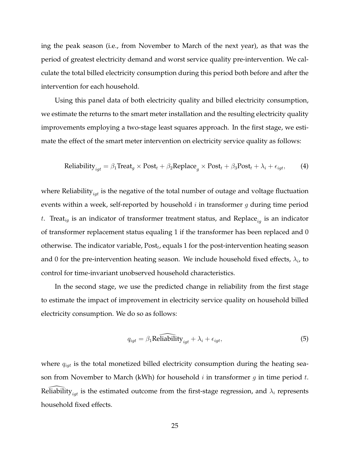ing the peak season (i.e., from November to March of the next year), as that was the period of greatest electricity demand and worst service quality pre-intervention. We calculate the total billed electricity consumption during this period both before and after the intervention for each household.

Using this panel data of both electricity quality and billed electricity consumption, we estimate the returns to the smart meter installation and the resulting electricity quality improvements employing a two-stage least squares approach. In the first stage, we estimate the effect of the smart meter intervention on electricity service quality as follows:

Reliability<sub>igt</sub> = 
$$
\beta_1
$$
Treat<sub>g</sub> × Post<sub>t</sub> +  $\beta_2$ Replace<sub>g</sub> × Post<sub>t</sub> +  $\beta_3$ Post<sub>t</sub> +  $\lambda_i$  +  $\epsilon_{igt}$ , (4)

where Reliability $_{igt}$  is the negative of the total number of outage and voltage fluctuation events within a week, self-reported by household  $i$  in transformer  $g$  during time period t. Treat<sub>ig</sub> is an indicator of transformer treatment status, and Replace<sub>ig</sub> is an indicator of transformer replacement status equaling 1 if the transformer has been replaced and 0 otherwise. The indicator variable,  $\mathrm{Post}_t$ , equals 1 for the post-intervention heating season and 0 for the pre-intervention heating season. We include household fixed effects,  $\lambda_i$ , to control for time-invariant unobserved household characteristics.

In the second stage, we use the predicted change in reliability from the first stage to estimate the impact of improvement in electricity service quality on household billed electricity consumption. We do so as follows:

$$
q_{igt} = \beta_1 \widehat{\text{Reliability}}_{igt} + \lambda_i + \epsilon_{igt},\tag{5}
$$

where  $q_{igt}$  is the total monetized billed electricity consumption during the heating season from November to March (kWh) for household  $i$  in transformer  $g$  in time period  $t$ . Reliability<sub>iat</sub> is the estimated outcome from the first-stage regression, and  $\lambda_i$  represents household fixed effects.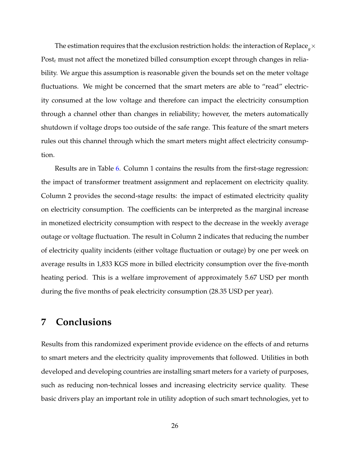The estimation requires that the exclusion restriction holds: the interaction of Replace  ${}_g\times$ Post $_t$  must not affect the monetized billed consumption except through changes in reliability. We argue this assumption is reasonable given the bounds set on the meter voltage fluctuations. We might be concerned that the smart meters are able to "read" electricity consumed at the low voltage and therefore can impact the electricity consumption through a channel other than changes in reliability; however, the meters automatically shutdown if voltage drops too outside of the safe range. This feature of the smart meters rules out this channel through which the smart meters might affect electricity consumption.

Results are in Table [6.](#page-42-0) Column 1 contains the results from the first-stage regression: the impact of transformer treatment assignment and replacement on electricity quality. Column 2 provides the second-stage results: the impact of estimated electricity quality on electricity consumption. The coefficients can be interpreted as the marginal increase in monetized electricity consumption with respect to the decrease in the weekly average outage or voltage fluctuation. The result in Column 2 indicates that reducing the number of electricity quality incidents (either voltage fluctuation or outage) by one per week on average results in 1,833 KGS more in billed electricity consumption over the five-month heating period. This is a welfare improvement of approximately 5.67 USD per month during the five months of peak electricity consumption (28.35 USD per year).

## <span id="page-26-0"></span>**7 Conclusions**

Results from this randomized experiment provide evidence on the effects of and returns to smart meters and the electricity quality improvements that followed. Utilities in both developed and developing countries are installing smart meters for a variety of purposes, such as reducing non-technical losses and increasing electricity service quality. These basic drivers play an important role in utility adoption of such smart technologies, yet to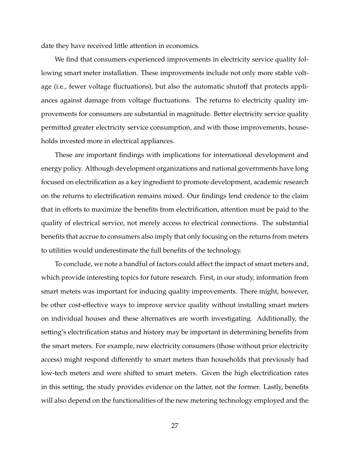date they have received little attention in economics.

We find that consumers experienced improvements in electricity service quality following smart meter installation. These improvements include not only more stable voltage (i.e., fewer voltage fluctuations), but also the automatic shutoff that protects appliances against damage from voltage fluctuations. The returns to electricity quality improvements for consumers are substantial in magnitude. Better electricity service quality permitted greater electricity service consumption, and with those improvements, households invested more in electrical appliances.

These are important findings with implications for international development and energy policy. Although development organizations and national governments have long focused on electrification as a key ingredient to promote development, academic research on the returns to electrification remains mixed. Our findings lend credence to the claim that in efforts to maximize the benefits from electrification, attention must be paid to the quality of electrical service, not merely access to electrical connections. The substantial benefits that accrue to consumers also imply that only focusing on the returns from meters to utilities would underestimate the full benefits of the technology.

To conclude, we note a handful of factors could affect the impact of smart meters and, which provide interesting topics for future research. First, in our study, information from smart meters was important for inducing quality improvements. There might, however, be other cost-effective ways to improve service quality without installing smart meters on individual houses and these alternatives are worth investigating. Additionally, the setting's electrification status and history may be important in determining benefits from the smart meters. For example, new electricity consumers (those without prior electricity access) might respond differently to smart meters than households that previously had low-tech meters and were shifted to smart meters. Given the high electrification rates in this setting, the study provides evidence on the latter, not the former. Lastly, benefits will also depend on the functionalities of the new metering technology employed and the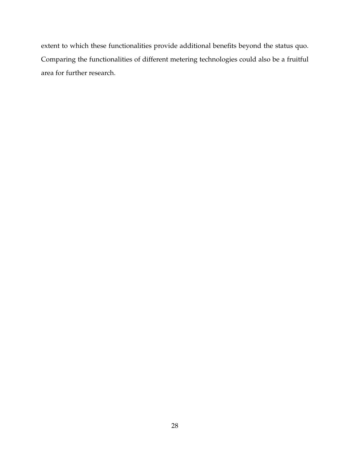extent to which these functionalities provide additional benefits beyond the status quo. Comparing the functionalities of different metering technologies could also be a fruitful area for further research.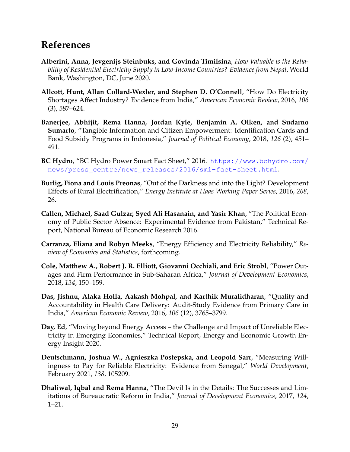## **References**

- <span id="page-29-6"></span>**Alberini, Anna, Jevgenijs Steinbuks, and Govinda Timilsina**, *How Valuable is the Reliability of Residential Electricity Supply in Low-Income Countries? Evidence from Nepal*, World Bank, Washington, DC, June 2020.
- <span id="page-29-10"></span>**Allcott, Hunt, Allan Collard-Wexler, and Stephen D. O'Connell**, "How Do Electricity Shortages Affect Industry? Evidence from India," *American Economic Review*, 2016, *106* (3), 587–624.
- <span id="page-29-3"></span>**Banerjee, Abhijit, Rema Hanna, Jordan Kyle, Benjamin A. Olken, and Sudarno Sumarto**, "Tangible Information and Citizen Empowerment: Identification Cards and Food Subsidy Programs in Indonesia," *Journal of Political Economy*, 2018, *126* (2), 451– 491.
- <span id="page-29-8"></span>**BC Hydro**, "BC Hydro Power Smart Fact Sheet," 2016. [https://www.bchydro.com/](https://www.bchydro.com/news/press_centre/news_releases/2016/smi-fact-sheet.html) [news/press\\_centre/news\\_releases/2016/smi-fact-sheet.html](https://www.bchydro.com/news/press_centre/news_releases/2016/smi-fact-sheet.html).
- <span id="page-29-5"></span>**Burlig, Fiona and Louis Preonas**, "Out of the Darkness and into the Light? Development Effects of Rural Electrification," *Energy Institute at Haas Working Paper Series*, 2016, *268*, 26.
- <span id="page-29-2"></span>**Callen, Michael, Saad Gulzar, Syed Ali Hasanain, and Yasir Khan**, "The Political Economy of Public Sector Absence: Experimental Evidence from Pakistan," Technical Report, National Bureau of Economic Research 2016.
- <span id="page-29-9"></span>**Carranza, Eliana and Robyn Meeks**, "Energy Efficiency and Electricity Reliability," *Review of Economics and Statistics*, forthcoming.
- <span id="page-29-11"></span>**Cole, Matthew A., Robert J. R. Elliott, Giovanni Occhiali, and Eric Strobl**, "Power Outages and Firm Performance in Sub-Saharan Africa," *Journal of Development Economics*, 2018, *134*, 150–159.
- <span id="page-29-1"></span>**Das, Jishnu, Alaka Holla, Aakash Mohpal, and Karthik Muralidharan**, "Quality and Accountability in Health Care Delivery: Audit-Study Evidence from Primary Care in India," *American Economic Review*, 2016, *106* (12), 3765–3799.
- <span id="page-29-4"></span>**Day, Ed**, "Moving beyond Energy Access – the Challenge and Impact of Unreliable Electricity in Emerging Economies," Technical Report, Energy and Economic Growth Energy Insight 2020.
- <span id="page-29-7"></span>**Deutschmann, Joshua W., Agnieszka Postepska, and Leopold Sarr**, "Measuring Willingness to Pay for Reliable Electricity: Evidence from Senegal," *World Development*, February 2021, *138*, 105209.
- <span id="page-29-0"></span>**Dhaliwal, Iqbal and Rema Hanna**, "The Devil Is in the Details: The Successes and Limitations of Bureaucratic Reform in India," *Journal of Development Economics*, 2017, *124*, 1–21.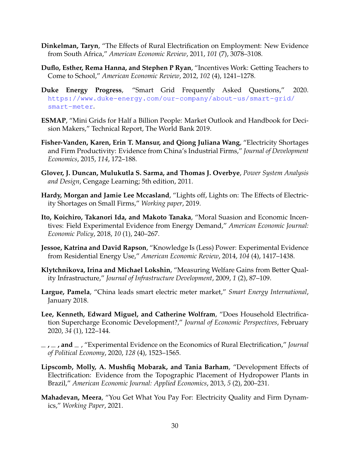- <span id="page-30-2"></span>**Dinkelman, Taryn**, "The Effects of Rural Electrification on Employment: New Evidence from South Africa," *American Economic Review*, 2011, *101* (7), 3078–3108.
- <span id="page-30-0"></span>**Duflo, Esther, Rema Hanna, and Stephen P Ryan**, "Incentives Work: Getting Teachers to Come to School," *American Economic Review*, 2012, *102* (4), 1241–1278.
- <span id="page-30-6"></span>**Duke Energy Progress**, "Smart Grid Frequently Asked Questions," 2020. [https://www.duke-energy.com/our-company/about-us/smart-grid/](https://www.duke-energy.com/our-company/about-us/smart-grid/smart-meter) [smart-meter](https://www.duke-energy.com/our-company/about-us/smart-grid/smart-meter).
- <span id="page-30-7"></span>**ESMAP**, "Mini Grids for Half a Billion People: Market Outlook and Handbook for Decision Makers," Technical Report, The World Bank 2019.
- <span id="page-30-11"></span>**Fisher-Vanden, Karen, Erin T. Mansur, and Qiong Juliana Wang**, "Electricity Shortages and Firm Productivity: Evidence from China's Industrial Firms," *Journal of Development Economics*, 2015, *114*, 172–188.
- <span id="page-30-10"></span>**Glover, J. Duncan, Mulukutla S. Sarma, and Thomas J. Overbye**, *Power System Analysis and Design*, Cengage Learning; 5th edition, 2011.
- <span id="page-30-12"></span>**Hardy, Morgan and Jamie Lee Mccasland**, "Lights off, Lights on: The Effects of Electricity Shortages on Small Firms," *Working paper*, 2019.
- <span id="page-30-9"></span>**Ito, Koichiro, Takanori Ida, and Makoto Tanaka**, "Moral Suasion and Economic Incentives: Field Experimental Evidence from Energy Demand," *American Economic Journal: Economic Policy*, 2018, *10* (1), 240–267.
- <span id="page-30-8"></span>**Jessoe, Katrina and David Rapson**, "Knowledge Is (Less) Power: Experimental Evidence from Residential Energy Use," *American Economic Review*, 2014, *104* (4), 1417–1438.
- <span id="page-30-14"></span>**Klytchnikova, Irina and Michael Lokshin**, "Measuring Welfare Gains from Better Quality Infrastructure," *Journal of Infrastructure Development*, 2009, *1* (2), 87–109.
- <span id="page-30-5"></span>**Largue, Pamela**, "China leads smart electric meter market," *Smart Energy International*, January 2018.
- <span id="page-30-4"></span>**Lee, Kenneth, Edward Miguel, and Catherine Wolfram**, "Does Household Electrification Supercharge Economic Development?," *Journal of Economic Perspectives*, February 2020, *34* (1), 122–144.
- <span id="page-30-1"></span>**, , and** , "Experimental Evidence on the Economics of Rural Electrification," *Journal of Political Economy*, 2020, *128* (4), 1523–1565.
- <span id="page-30-3"></span>**Lipscomb, Molly, A. Mushfiq Mobarak, and Tania Barham**, "Development Effects of Electrification: Evidence from the Topographic Placement of Hydropower Plants in Brazil," *American Economic Journal: Applied Economics*, 2013, *5* (2), 200–231.
- <span id="page-30-13"></span>**Mahadevan, Meera**, "You Get What You Pay For: Electricity Quality and Firm Dynamics," *Working Paper*, 2021.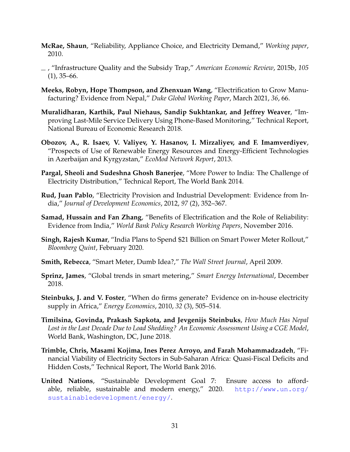- <span id="page-31-12"></span>**McRae, Shaun**, "Reliability, Appliance Choice, and Electricity Demand," *Working paper*, 2010.
- <span id="page-31-13"></span>, "Infrastructure Quality and the Subsidy Trap," *American Economic Review*, 2015b, *105*  $(1)$ , 35–66.
- <span id="page-31-10"></span>**Meeks, Robyn, Hope Thompson, and Zhenxuan Wang**, "Electrification to Grow Manufacturing? Evidence from Nepal," *Duke Global Working Paper*, March 2021, *36*, 66.
- <span id="page-31-0"></span>**Muralidharan, Karthik, Paul Niehaus, Sandip Sukhtankar, and Jeffrey Weaver**, "Improving Last-Mile Service Delivery Using Phone-Based Monitoring," Technical Report, National Bureau of Economic Research 2018.
- <span id="page-31-14"></span>**Obozov, A., R. Isaev, V. Valiyev, Y. Hasanov, I. Mirzaliyev, and F. Imamverdiyev**, "Prospects of Use of Renewable Energy Resources and Energy-Efficient Technologies in Azerbaijan and Kyrgyzstan," *EcoMod Network Report*, 2013.
- <span id="page-31-2"></span>**Pargal, Sheoli and Sudeshna Ghosh Banerjee**, "More Power to India: The Challenge of Electricity Distribution," Technical Report, The World Bank 2014.
- <span id="page-31-5"></span>**Rud, Juan Pablo**, "Electricity Provision and Industrial Development: Evidence from India," *Journal of Development Economics*, 2012, *97* (2), 352–367.
- <span id="page-31-3"></span>**Samad, Hussain and Fan Zhang**, "Benefits of Electrification and the Role of Reliability: Evidence from India," *World Bank Policy Research Working Papers*, November 2016.
- <span id="page-31-8"></span>**Singh, Rajesh Kumar**, "India Plans to Spend \$21 Billion on Smart Power Meter Rollout," *Bloomberg Quint*, February 2020.
- <span id="page-31-7"></span>**Smith, Rebecca**, "Smart Meter, Dumb Idea?," *The Wall Street Journal*, April 2009.
- <span id="page-31-9"></span>**Sprinz, James**, "Global trends in smart metering," *Smart Energy International*, December 2018.
- <span id="page-31-11"></span>**Steinbuks, J. and V. Foster**, "When do firms generate? Evidence on in-house electricity supply in Africa," *Energy Economics*, 2010, *32* (3), 505–514.
- <span id="page-31-4"></span>**Timilsina, Govinda, Prakash Sapkota, and Jevgenijs Steinbuks**, *How Much Has Nepal Lost in the Last Decade Due to Load Shedding? An Economic Assessment Using a CGE Model*, World Bank, Washington, DC, June 2018.
- <span id="page-31-1"></span>**Trimble, Chris, Masami Kojima, Ines Perez Arroyo, and Farah Mohammadzadeh**, "Financial Viability of Electricity Sectors in Sub-Saharan Africa: Quasi-Fiscal Deficits and Hidden Costs," Technical Report, The World Bank 2016.
- <span id="page-31-6"></span>**United Nations**, "Sustainable Development Goal 7: Ensure access to affordable, reliable, sustainable and modern energy," 2020. [http://www.un.org/](http://www.un.org/sustainabledevelopment/energy/) [sustainabledevelopment/energy/](http://www.un.org/sustainabledevelopment/energy/).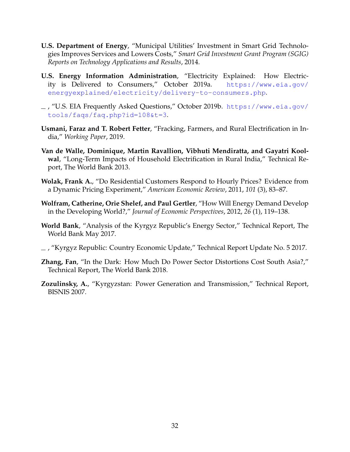- <span id="page-32-4"></span>**U.S. Department of Energy**, "Municipal Utilities' Investment in Smart Grid Technologies Improves Services and Lowers Costs," *Smart Grid Investment Grant Program (SGIG) Reports on Technology Applications and Results*, 2014.
- <span id="page-32-10"></span>**U.S. Energy Information Administration**, "Electricity Explained: How Electricity is Delivered to Consumers," October 2019a. [https://www.eia.gov/](https://www.eia.gov/energyexplained/electricity/delivery-to-consumers.php) [energyexplained/electricity/delivery-to-consumers.php](https://www.eia.gov/energyexplained/electricity/delivery-to-consumers.php).
- <span id="page-32-3"></span>, "U.S. EIA Frequently Asked Questions," October 2019b. [https://www.eia.gov/](https://www.eia.gov/tools/faqs/faq.php?id=108&t=3) [tools/faqs/faq.php?id=108&t=3](https://www.eia.gov/tools/faqs/faq.php?id=108&t=3).
- <span id="page-32-2"></span>**Usmani, Faraz and T. Robert Fetter**, "Fracking, Farmers, and Rural Electrification in India," *Working Paper*, 2019.
- <span id="page-32-1"></span>**Van de Walle, Dominique, Martin Ravallion, Vibhuti Mendiratta, and Gayatri Koolwal**, "Long-Term Impacts of Household Electrification in Rural India," Technical Report, The World Bank 2013.
- <span id="page-32-5"></span>**Wolak, Frank A.**, "Do Residential Customers Respond to Hourly Prices? Evidence from a Dynamic Pricing Experiment," *American Economic Review*, 2011, *101* (3), 83–87.
- <span id="page-32-6"></span>**Wolfram, Catherine, Orie Shelef, and Paul Gertler**, "How Will Energy Demand Develop in the Developing World?," *Journal of Economic Perspectives*, 2012, *26* (1), 119–138.
- <span id="page-32-8"></span>**World Bank**, "Analysis of the Kyrgyz Republic's Energy Sector," Technical Report, The World Bank May 2017.
- <span id="page-32-9"></span>, "Kyrgyz Republic: Country Economic Update," Technical Report Update No. 5 2017.
- <span id="page-32-0"></span>**Zhang, Fan**, "In the Dark: How Much Do Power Sector Distortions Cost South Asia?," Technical Report, The World Bank 2018.
- <span id="page-32-7"></span>**Zozulinsky, A.**, "Kyrgyzstan: Power Generation and Transmission," Technical Report, BISNIS 2007.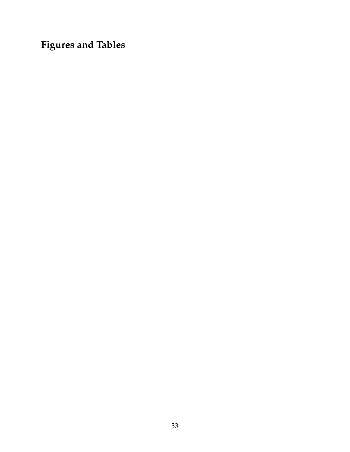**Figures and Tables**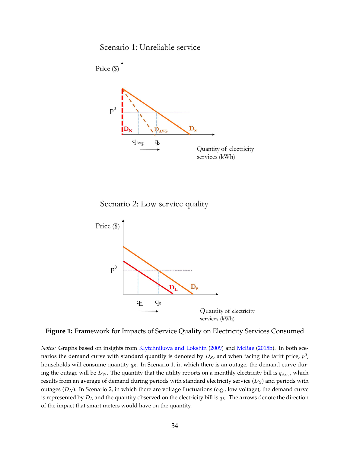Scenario 1: Unreliable service

<span id="page-34-0"></span>

Scenario 2: Low service quality



**Figure 1:** Framework for Impacts of Service Quality on Electricity Services Consumed

*Notes:* Graphs based on insights from [Klytchnikova and Lokshin](#page-30-14) [\(2009\)](#page-30-14) and [McRae](#page-31-13) [\(2015b\)](#page-31-13). In both scenarios the demand curve with standard quantity is denoted by  $D_S$ , and when facing the tariff price,  $p^0$ , households will consume quantity  $q_S$ . In Scenario 1, in which there is an outage, the demand curve during the outage will be  $D_N$ . The quantity that the utility reports on a monthly electricity bill is  $q_{Avg}$ , which results from an average of demand during periods with standard electricity service  $(D<sub>S</sub>)$  and periods with outages  $(D_N)$ . In Scenario 2, in which there are voltage fluctuations (e.g., low voltage), the demand curve is represented by  $D_L$  and the quantity observed on the electricity bill is  $q_L$ . The arrows denote the direction of the impact that smart meters would have on the quantity.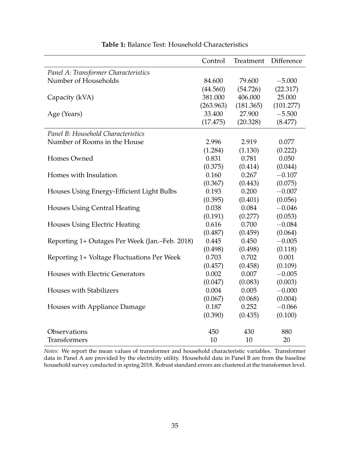<span id="page-35-0"></span>

|                                                | Control   | Treatment | Difference |
|------------------------------------------------|-----------|-----------|------------|
| Panel A: Transformer Characteristics           |           |           |            |
| Number of Households                           | 84.600    | 79.600    | $-5.000$   |
|                                                | (44.560)  | (54.726)  | (22.317)   |
| Capacity (kVA)                                 | 381.000   | 406.000   | 25.000     |
|                                                | (263.963) | (181.365) | (101.277)  |
| Age (Years)                                    | 33.400    | 27.900    | $-5.500$   |
|                                                | (17.475)  | (20.328)  | (8.477)    |
| Panel B: Household Characteristics             |           |           |            |
| Number of Rooms in the House                   | 2.996     | 2.919     | 0.077      |
|                                                | (1.284)   | (1.130)   | (0.222)    |
| Homes Owned                                    | 0.831     | 0.781     | 0.050      |
|                                                | (0.375)   | (0.414)   | (0.044)    |
| Homes with Insulation                          | 0.160     | 0.267     | $-0.107$   |
|                                                | (0.367)   | (0.443)   | (0.075)    |
| Houses Using Energy-Efficient Light Bulbs      | 0.193     | 0.200     | $-0.007$   |
|                                                | (0.395)   | (0.401)   | (0.056)    |
| <b>Houses Using Central Heating</b>            | 0.038     | 0.084     | $-0.046$   |
|                                                | (0.191)   | (0.277)   | (0.053)    |
| <b>Houses Using Electric Heating</b>           | 0.616     | 0.700     | $-0.084$   |
|                                                | (0.487)   | (0.459)   | (0.064)    |
| Reporting 1+ Outages Per Week (Jan.–Feb. 2018) | 0.445     | 0.450     | $-0.005$   |
|                                                | (0.498)   | (0.498)   | (0.118)    |
| Reporting 1+ Voltage Fluctuations Per Week     | 0.703     | 0.702     | 0.001      |
|                                                | (0.457)   | (0.458)   | (0.109)    |
| Houses with Electric Generators                | 0.002     | 0.007     | $-0.005$   |
|                                                | (0.047)   | (0.083)   | (0.003)    |
| <b>Houses with Stabilizers</b>                 | 0.004     | 0.005     | $-0.000$   |
|                                                | (0.067)   | (0.068)   | (0.004)    |
| Houses with Appliance Damage                   | 0.187     | 0.252     | $-0.066$   |
|                                                | (0.390)   | (0.435)   | (0.100)    |
| Observations                                   | 450       | 430       | 880        |
| <b>Transformers</b>                            | 10        | 10        | 20         |

### **Table 1:** Balance Test: Household Characteristics

*Notes:* We report the mean values of transformer and household characteristic variables. Transformer data in Panel A are provided by the electricity utility. Household data in Panel B are from the baseline household survey conducted in spring 2018. Robust standard errors are clustered at the transformer level.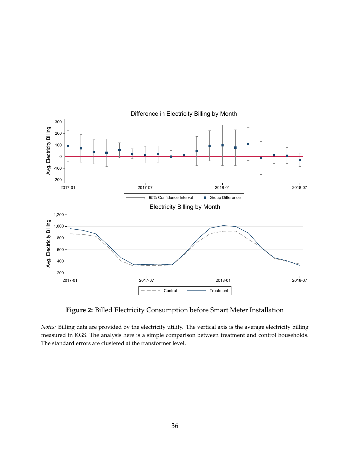<span id="page-36-0"></span>

### Difference in Electricity Billing by Month

**Figure 2:** Billed Electricity Consumption before Smart Meter Installation

*Notes:* Billing data are provided by the electricity utility. The vertical axis is the average electricity billing measured in KGS. The analysis here is a simple comparison between treatment and control households. The standard errors are clustered at the transformer level.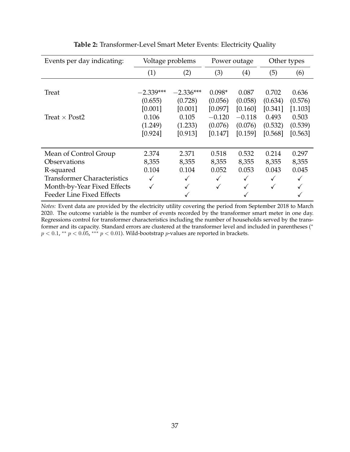<span id="page-37-0"></span>

| Events per day indicating:         | Voltage problems |             | Power outage |              | Other types |         |
|------------------------------------|------------------|-------------|--------------|--------------|-------------|---------|
|                                    | (1)              | (2)         | (3)          | (4)          | (5)         | (6)     |
|                                    |                  |             |              |              |             |         |
| Treat                              | $-2.339***$      | $-2.336***$ | $0.098*$     | 0.087        | 0.702       | 0.636   |
|                                    | (0.655)          | (0.728)     | (0.056)      | (0.058)      | (0.634)     | (0.576) |
|                                    | [0.001]          | [0.001]     | [0.097]      | [0.160]      | [0.341]     | [1.103] |
| Treat $\times$ Post2               | 0.106            | 0.105       | $-0.120$     | $-0.118$     | 0.493       | 0.503   |
|                                    | (1.249)          | (1.233)     | (0.076)      | (0.076)      | (0.532)     | (0.539) |
|                                    | [0.924]          | [0.913]     | [0.147]      | [0.159]      | [0.568]     | [0.563] |
|                                    |                  |             |              |              |             |         |
| Mean of Control Group              | 2.374            | 2.371       | 0.518        | 0.532        | 0.214       | 0.297   |
| <b>Observations</b>                | 8,355            | 8,355       | 8,355        | 8,355        | 8,355       | 8,355   |
| R-squared                          | 0.104            | 0.104       | 0.052        | 0.053        | 0.043       | 0.045   |
| <b>Transformer Characteristics</b> |                  |             | $\checkmark$ | $\checkmark$ | ✓           |         |
| Month-by-Year Fixed Effects        | ✓                |             | ✓            | $\checkmark$ | ✓           |         |
| Feeder Line Fixed Effects          |                  |             |              | ✓            |             |         |

**Table 2:** Transformer-Level Smart Meter Events: Electricity Quality

*Notes:* Event data are provided by the electricity utility covering the period from September 2018 to March 2020. The outcome variable is the number of events recorded by the transformer smart meter in one day. Regressions control for transformer characteristics including the number of households served by the transformer and its capacity. Standard errors are clustered at the transformer level and included in parentheses (\*  $p < 0.1$ , \*\*  $p < 0.05$ , \*\*\*  $p < 0.01$ ). Wild-bootstrap  $p$ -values are reported in brackets.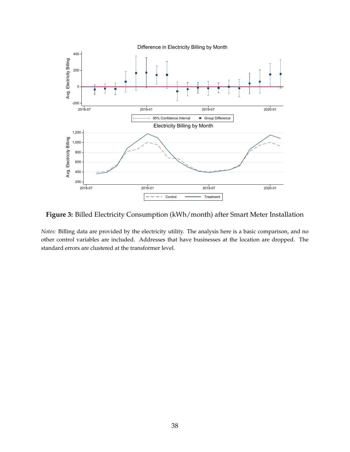<span id="page-38-0"></span>

**Figure 3:** Billed Electricity Consumption (kWh/month) after Smart Meter Installation

*Notes:* Billing data are provided by the electricity utility. The analysis here is a basic comparison, and no other control variables are included. Addresses that have businesses at the location are dropped. The standard errors are clustered at the transformer level.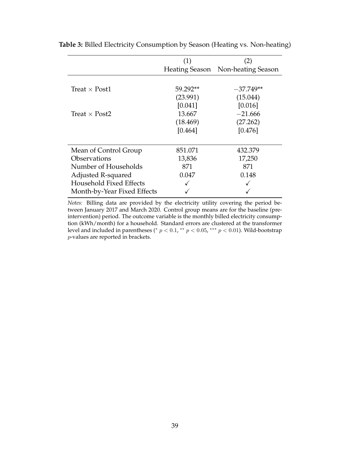|                             | (1)      | (2)                               |
|-----------------------------|----------|-----------------------------------|
|                             |          | Heating Season Non-heating Season |
|                             |          |                                   |
| Treat $\times$ Post1        | 59.292** | $-37.749**$                       |
|                             | (23.991) | (15.044)                          |
|                             | [0.041]  | [0.016]                           |
| Treat $\times$ Post2        | 13.667   | $-21.666$                         |
|                             | (18.469) | (27.262)                          |
|                             | [0.464]  | [0.476]                           |
|                             |          |                                   |
| Mean of Control Group       | 851.071  | 432.379                           |
| <b>Observations</b>         | 13,836   | 17,250                            |
| Number of Households        | 871      | 871                               |
| Adjusted R-squared          | 0.047    | 0.148                             |
| Household Fixed Effects     |          |                                   |
| Month-by-Year Fixed Effects |          |                                   |

<span id="page-39-0"></span>**Table 3:** Billed Electricity Consumption by Season (Heating vs. Non-heating)

*Notes:* Billing data are provided by the electricity utility covering the period between January 2017 and March 2020. Control group means are for the baseline (preintervention) period. The outcome variable is the monthly billed electricity consumption (kWh/month) for a household. Standard errors are clustered at the transformer level and included in parentheses (\*  $p < 0.1$ , \*\*  $p < 0.05$ , \*\*\*  $p < 0.01$ ). Wild-bootstrap p-values are reported in brackets.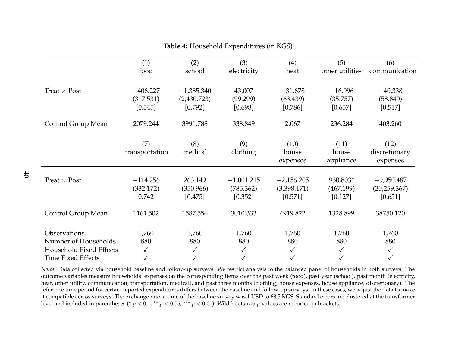|                                                                                                     | (1)<br>food                        | (2)<br>school                          | (3)<br>electricity                   | (4)<br>heat                            | (5)<br>other utilities           | (6)<br>communication                     |
|-----------------------------------------------------------------------------------------------------|------------------------------------|----------------------------------------|--------------------------------------|----------------------------------------|----------------------------------|------------------------------------------|
| Treat $\times$ Post                                                                                 | $-406.227$<br>(317.531)<br>[0.345] | $-1,385.340$<br>(2,430.723)<br>[0.792] | 43.007<br>(99.299)<br>[0.698]        | $-31.678$<br>(63.439)<br>[0.786]       | $-16.996$<br>(35.757)<br>[0.657] | $-40.338$<br>(58.840)<br>[0.517]         |
| Control Group Mean                                                                                  | 2079.244                           | 3991.788                               | 338.849                              | 2.067                                  | 236.284                          | 403.260                                  |
|                                                                                                     | (7)<br>transportation              | (8)<br>medical                         | (9)<br>clothing                      | (10)<br>house<br>expenses              | (11)<br>house<br>appliance       | (12)<br>discretionary<br>expenses        |
| Treat $\times$ Post                                                                                 | $-114.256$<br>(332.172)<br>[0.742] | 263.149<br>(350.966)<br>[0.475]        | $-1,001.215$<br>(785.362)<br>[0.352] | $-2,156.205$<br>(3,398.171)<br>[0.571] | 930.803*<br>(467.199)<br>[0.127] | $-9,950.487$<br>(20, 259.367)<br>[0.651] |
| Control Group Mean                                                                                  | 1161.502                           | 1587.556                               | 3010.333                             | 4919.822                               | 1328.899                         | 38750.120                                |
| Observations<br>Number of Households<br><b>Household Fixed Effects</b><br><b>Time Fixed Effects</b> | 1,760<br>880<br>✓                  | 1,760<br>880<br>$\checkmark$           | 1,760<br>880<br>✓                    | 1,760<br>880<br>✓                      | 1,760<br>880                     | 1,760<br>880<br>✓                        |

### **Table 4:** Household Expenditures (in KGS)

<span id="page-40-0"></span> *Notes:* Data collected via household baseline and follow-up surveys. We restrict analysis to the balanced panel of households in both surveys. The outcome variables measure households' expenses on the corresponding items over the pas<sup>t</sup> week (food), pas<sup>t</sup> year (school), pas<sup>t</sup> month (electricity, heat, other utility, communication, transportation, medical), and pas<sup>t</sup> three months (clothing, house expenses, house appliance, discretionary). The reference time period for certain reported expenditures differs between the baseline and follow-up surveys. In these cases, we adjust the data to make it compatible across surveys. The exchange rate at time of the baseline survey was <sup>1</sup> USD to 68.5 KGS. Standard errors are clustered at the transformerlevel and included in parentheses (\*  $p < 0.1$ , \*\*  $p < 0.05$ , \*\*\*  $p < 0.01$ ). Wild-bootstrap  $p$ -values are reported in brackets.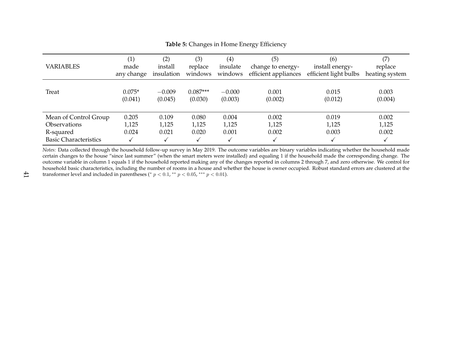| <b>VARIABLES</b>                                                                          | $\left( 1\right)$       | (2)                     | (3)                     | (4)                     | (5)                     | (6)                     | (7)                     |
|-------------------------------------------------------------------------------------------|-------------------------|-------------------------|-------------------------|-------------------------|-------------------------|-------------------------|-------------------------|
|                                                                                           | made                    | install                 | replace                 | insulate                | change to energy-       | install energy-         | replace                 |
|                                                                                           | any change              | insulation              | windows                 | windows                 | efficient appliances    | efficient light bulbs   | heating system          |
| <b>Treat</b>                                                                              | $0.075*$                | $-0.009$                | $0.087***$              | $-0.000$                | 0.001                   | 0.015                   | 0.003                   |
|                                                                                           | (0.041)                 | (0.045)                 | (0.030)                 | (0.003)                 | (0.002)                 | (0.012)                 | (0.004)                 |
| Mean of Control Group<br><b>Observations</b><br>R-squared<br><b>Basic Characteristics</b> | 0.205<br>1,125<br>0.024 | 0.109<br>1,125<br>0.021 | 0.080<br>1,125<br>0.020 | 0.004<br>1,125<br>0.001 | 0.002<br>1,125<br>0.002 | 0.019<br>1,125<br>0.003 | 0.002<br>1,125<br>0.002 |

<span id="page-41-0"></span>**Table 5:** Changes in Home Energy Efficiency

 *Notes:* Data collected through the household follow-up survey in May 2019. The outcome variables are binary variables indicating whether the household made certain changes to the house "since last summer" (when the smart meters were installed) and equaling <sup>1</sup> if the household made the corresponding change. The outcome variable in column <sup>1</sup> equals <sup>1</sup> if the household reported making any of the changes reported in columns <sup>2</sup> through 7, and zero otherwise. We control for household basic characteristics, including the number of rooms in <sup>a</sup> house and whether the house is owner occupied. Robust standard errors are clustered at thetransformer level and included in parentheses (\*  $p < 0.1$ , \*\*  $p < 0.05$ , \*\*\*  $p < 0.01$ ).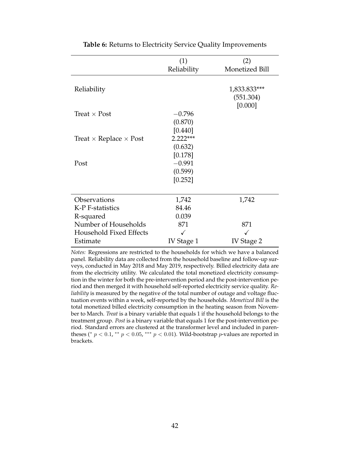<span id="page-42-0"></span>

|                                      | (1)<br>Reliability | (2)<br>Monetized Bill                |
|--------------------------------------|--------------------|--------------------------------------|
|                                      |                    |                                      |
| Reliability                          |                    | 1,833.833***<br>(551.304)<br>[0.000] |
| Treat $\times$ Post                  | $-0.796$           |                                      |
|                                      | (0.870)            |                                      |
|                                      | [0.440]            |                                      |
| Treat $\times$ Replace $\times$ Post | $2.222***$         |                                      |
|                                      | (0.632)            |                                      |
|                                      | [0.178]            |                                      |
| Post                                 | $-0.991$           |                                      |
|                                      | (0.599)            |                                      |
|                                      | [0.252]            |                                      |
|                                      |                    |                                      |
| Observations                         | 1,742              | 1,742                                |
| K-P F-statistics                     | 84.46              |                                      |
| R-squared                            | 0.039              |                                      |
| Number of Households                 | 871                | 871                                  |
| Household Fixed Effects              |                    |                                      |
| Estimate                             | IV Stage 1         | IV Stage 2                           |

**Table 6:** Returns to Electricity Service Quality Improvements

*Notes:* Regressions are restricted to the households for which we have a balanced panel. Reliability data are collected from the household baseline and follow-up surveys, conducted in May 2018 and May 2019, respectively. Billed electricity data are from the electricity utility. We calculated the total monetized electricity consumption in the winter for both the pre-intervention period and the post-intervention period and then merged it with household self-reported electricity service quality. *Reliability* is measured by the negative of the total number of outage and voltage fluctuation events within a week, self-reported by the households. *Monetized Bill* is the total monetized billed electricity consumption in the heating season from November to March. *Treat* is a binary variable that equals 1 if the household belongs to the treatment group. *Post* is a binary variable that equals 1 for the post-intervention period. Standard errors are clustered at the transformer level and included in parentheses (\*  $p < 0.1$ , \*\*  $p < 0.05$ , \*\*\*  $p < 0.01$ ). Wild-bootstrap  $p$ -values are reported in brackets.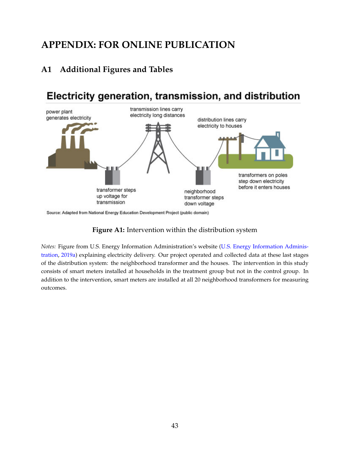# **APPENDIX: FOR ONLINE PUBLICATION**

## **A1 Additional Figures and Tables**

# <span id="page-43-0"></span>Electricity generation, transmission, and distribution



Source: Adapted from National Energy Education Development Project (public domain)

### **Figure A1:** Intervention within the distribution system

*Notes:* Figure from U.S. Energy Information Administration's website [\(U.S. Energy Information Adminis](#page-32-10)[tration,](#page-32-10) [2019a\)](#page-32-10) explaining electricity delivery. Our project operated and collected data at these last stages of the distribution system: the neighborhood transformer and the houses. The intervention in this study consists of smart meters installed at households in the treatment group but not in the control group. In addition to the intervention, smart meters are installed at all 20 neighborhood transformers for measuring outcomes.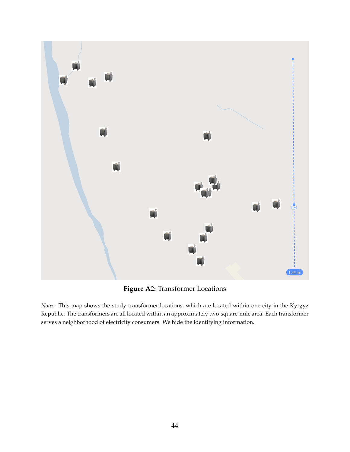<span id="page-44-0"></span>

**Figure A2:** Transformer Locations

*Notes:* This map shows the study transformer locations, which are located within one city in the Kyrgyz Republic. The transformers are all located within an approximately two-square-mile area. Each transformer serves a neighborhood of electricity consumers. We hide the identifying information.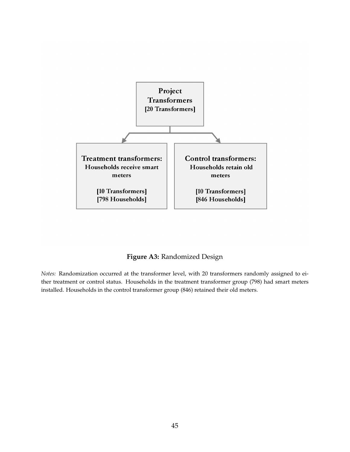<span id="page-45-0"></span>

**Figure A3:** Randomized Design

*Notes:* Randomization occurred at the transformer level, with 20 transformers randomly assigned to either treatment or control status. Households in the treatment transformer group (798) had smart meters installed. Households in the control transformer group (846) retained their old meters.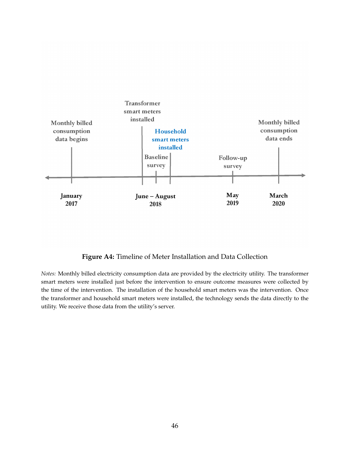<span id="page-46-0"></span>

### **Figure A4:** Timeline of Meter Installation and Data Collection

*Notes:* Monthly billed electricity consumption data are provided by the electricity utility. The transformer smart meters were installed just before the intervention to ensure outcome measures were collected by the time of the intervention. The installation of the household smart meters was the intervention. Once the transformer and household smart meters were installed, the technology sends the data directly to the utility. We receive those data from the utility's server.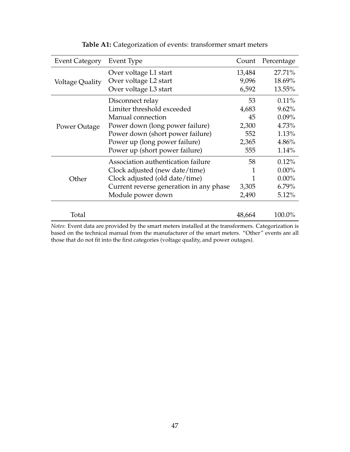<span id="page-47-0"></span>

| <b>Event Category</b> | Event Type                                                                                          | Count  | Percentage |
|-----------------------|-----------------------------------------------------------------------------------------------------|--------|------------|
|                       | Over voltage L1 start                                                                               | 13,484 | 27.71%     |
| Voltage Quality       | Over voltage L2 start                                                                               | 9,096  | 18.69%     |
|                       | Over voltage L3 start                                                                               | 6,592  | 13.55%     |
|                       | Disconnect relay                                                                                    | 53     | $0.11\%$   |
|                       | Limiter threshold exceeded                                                                          | 4,683  | 9.62%      |
|                       | Manual connection                                                                                   | 45     | $0.09\%$   |
| Power Outage          | Power down (long power failure)                                                                     | 2,300  | 4.73%      |
|                       | Power down (short power failure)                                                                    | 552    | 1.13%      |
|                       | Power up (long power failure)                                                                       | 2,365  | 4.86%      |
|                       | Power up (short power failure)                                                                      | 555    | 1.14%      |
|                       | Association authentication failure                                                                  | 58     | 0.12%      |
|                       | Clock adjusted (new date/time)                                                                      | 1      | $0.00\%$   |
| Other                 | Clock adjusted (old date/time)                                                                      | 1      | $0.00\%$   |
|                       | Current reverse generation in any phase                                                             | 3,305  | $6.79\%$   |
|                       | Module power down                                                                                   | 2,490  | 5.12%      |
| Total                 |                                                                                                     | 48,664 | 100.0%     |
|                       | Notes: Event data are provided by the smart meters installed at the transformers. Categorization is |        |            |

## **Table A1:** Categorization of events: transformer smart meters

*Notes*: Event data are provided by the smart meters installed at the transformers. Categorization is based on the technical manual from the manufacturer of the smart meters. "Other" events are all those that do not fit into the first categories (voltage quality, and power outages).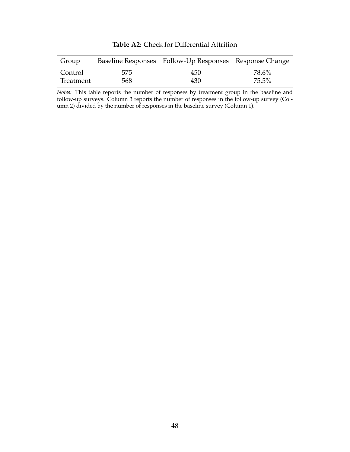<span id="page-48-0"></span>

| Group     |     | Baseline Responses Follow-Up Responses Response Change |       |
|-----------|-----|--------------------------------------------------------|-------|
| Control   | 575 | 450                                                    | 78.6% |
| Treatment | 568 | 430                                                    | 75.5% |

**Table A2:** Check for Differential Attrition

*Notes:* This table reports the number of responses by treatment group in the baseline and follow-up surveys. Column 3 reports the number of responses in the follow-up survey (Column 2) divided by the number of responses in the baseline survey (Column 1).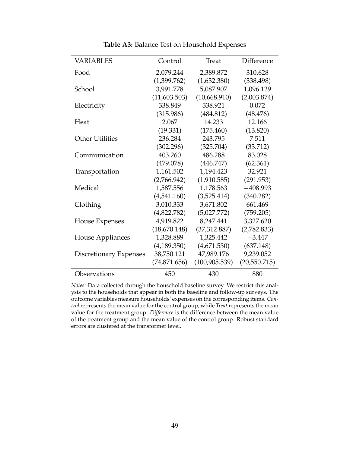<span id="page-49-0"></span>

| <b>VARIABLES</b>              | Control       | Treat          | Difference   |
|-------------------------------|---------------|----------------|--------------|
| Food                          | 2,079.244     | 2,389.872      | 310.628      |
|                               | (1,399.762)   | (1,632.380)    | (338.498)    |
| School                        | 3,991.778     | 5,087.907      | 1,096.129    |
|                               | (11,603.503)  | (10,668.910)   | (2,003.874)  |
| Electricity                   | 338.849       | 338.921        | 0.072        |
|                               | (315.986)     | (484.812)      | (48.476)     |
| Heat                          | 2.067         | 14.233         | 12.166       |
|                               | (19.331)      | (175.460)      | (13.820)     |
| <b>Other Utilities</b>        | 236.284       | 243.795        | 7.511        |
|                               | (302.296)     | (325.704)      | (33.712)     |
| Communication                 | 403.260       | 486.288        | 83.028       |
|                               | (479.078)     | (446.747)      | (62.361)     |
| Transportation                | 1,161.502     | 1,194.423      | 32.921       |
|                               | (2,766.942)   | (1,910.585)    | (291.953)    |
| Medical                       | 1,587.556     | 1,178.563      | $-408.993$   |
|                               | (4,541.160)   | (3,525.414)    | (340.282)    |
| Clothing                      | 3,010.333     | 3,671.802      | 661.469      |
|                               | (4,822.782)   | (5,027.772)    | (759.205)    |
| House Expenses                | 4,919.822     | 8,247.441      | 3,327.620    |
|                               | (18,670.148)  | (37,312.887)   | (2,782.833)  |
| House Appliances              | 1,328.889     | 1,325.442      | $-3.447$     |
|                               | (4,189.350)   | (4,671.530)    | (637.148)    |
| <b>Discretionary Expenses</b> | 38,750.121    | 47,989.176     | 9,239.052    |
|                               | (74, 871.656) | (100, 905.539) | (20,550.715) |
| Observations                  | 450           | 430            | 880          |

**Table A3:** Balance Test on Household Expenses

*Notes:* Data collected through the household baseline survey. We restrict this analysis to the households that appear in both the baseline and follow-up surveys. The outcome variables measure households' expenses on the corresponding items. *Control* represents the mean value for the control group, while *Treat* represents the mean value for the treatment group. *Difference* is the difference between the mean value of the treatment group and the mean value of the control group. Robust standard errors are clustered at the transformer level.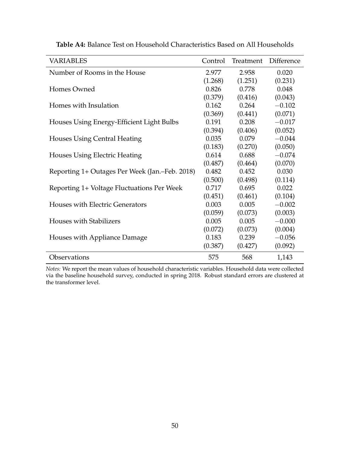| <b>VARIABLES</b>                               | Control | Treatment | Difference |
|------------------------------------------------|---------|-----------|------------|
| Number of Rooms in the House                   | 2.977   | 2.958     | 0.020      |
|                                                | (1.268) | (1.251)   | (0.231)    |
| Homes Owned                                    | 0.826   | 0.778     | 0.048      |
|                                                | (0.379) | (0.416)   | (0.043)    |
| Homes with Insulation                          | 0.162   | 0.264     | $-0.102$   |
|                                                | (0.369) | (0.441)   | (0.071)    |
| Houses Using Energy-Efficient Light Bulbs      | 0.191   | 0.208     | $-0.017$   |
|                                                | (0.394) | (0.406)   | (0.052)    |
| Houses Using Central Heating                   | 0.035   | 0.079     | $-0.044$   |
|                                                | (0.183) | (0.270)   | (0.050)    |
| <b>Houses Using Electric Heating</b>           | 0.614   | 0.688     | $-0.074$   |
|                                                | (0.487) | (0.464)   | (0.070)    |
| Reporting 1+ Outages Per Week (Jan.–Feb. 2018) | 0.482   | 0.452     | 0.030      |
|                                                | (0.500) | (0.498)   | (0.114)    |
| Reporting 1+ Voltage Fluctuations Per Week     | 0.717   | 0.695     | 0.022      |
|                                                | (0.451) | (0.461)   | (0.104)    |
| Houses with Electric Generators                | 0.003   | 0.005     | $-0.002$   |
|                                                | (0.059) | (0.073)   | (0.003)    |
| <b>Houses with Stabilizers</b>                 | 0.005   | 0.005     | $-0.000$   |
|                                                | (0.072) | (0.073)   | (0.004)    |
| Houses with Appliance Damage                   | 0.183   | 0.239     | $-0.056$   |
|                                                | (0.387) | (0.427)   | (0.092)    |
| Observations                                   | 575     | 568       | 1,143      |

<span id="page-50-0"></span>**Table A4:** Balance Test on Household Characteristics Based on All Households

*Notes:* We report the mean values of household characteristic variables. Household data were collected via the baseline household survey, conducted in spring 2018. Robust standard errors are clustered at the transformer level.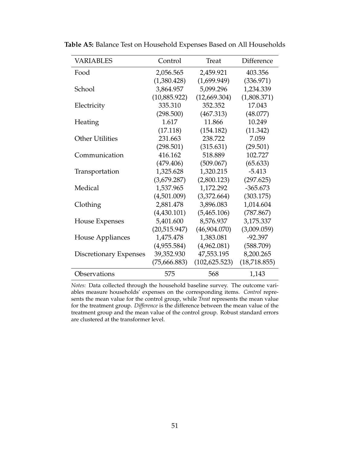| <b>VARIABLES</b>              | Control      | Treat          | Difference   |
|-------------------------------|--------------|----------------|--------------|
| Food                          | 2,056.565    | 2,459.921      | 403.356      |
|                               | (1,380.428)  | (1,699.949)    | (336.971)    |
| School                        | 3,864.957    | 5,099.296      | 1,234.339    |
|                               | (10,885.922) | (12,669.304)   | (1,808.371)  |
| Electricity                   | 335.310      | 352.352        | 17.043       |
|                               | (298.500)    | (467.313)      | (48.077)     |
| Heating                       | 1.617        | 11.866         | 10.249       |
|                               | (17.118)     | (154.182)      | (11.342)     |
| <b>Other Utilities</b>        | 231.663      | 238.722        | 7.059        |
|                               | (298.501)    | (315.631)      | (29.501)     |
| Communication                 | 416.162      | 518.889        | 102.727      |
|                               | (479.406)    | (509.067)      | (65.633)     |
| Transportation                | 1,325.628    | 1,320.215      | $-5.413$     |
|                               | (3,679.287)  | (2,800.123)    | (297.625)    |
| Medical                       | 1,537.965    | 1,172.292      | $-365.673$   |
|                               | (4,501.009)  | (3,372.664)    | (303.175)    |
| Clothing                      | 2,881.478    | 3,896.083      | 1,014.604    |
|                               | (4,430.101)  | (5,465.106)    | (787.867)    |
| <b>House Expenses</b>         | 5,401.600    | 8,576.937      | 3,175.337    |
|                               | (20,515.947) | (46,904.070)   | (3,009.059)  |
| House Appliances              | 1,475.478    | 1,383.081      | $-92.397$    |
|                               | (4,955.584)  | (4,962.081)    | (588.709)    |
| <b>Discretionary Expenses</b> | 39,352.930   | 47,553.195     | 8,200.265    |
|                               | (75,666.883) | (102, 625.523) | (18,718.855) |
| Observations                  | 575          | 568            | 1,143        |

<span id="page-51-0"></span>**Table A5:** Balance Test on Household Expenses Based on All Households

*Notes:* Data collected through the household baseline survey. The outcome variables measure households' expenses on the corresponding items. *Control* represents the mean value for the control group, while *Treat* represents the mean value for the treatment group. *Difference* is the difference between the mean value of the treatment group and the mean value of the control group. Robust standard errors are clustered at the transformer level.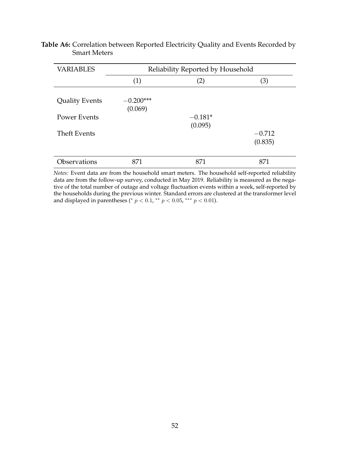<span id="page-52-0"></span>

| <b>Table A6:</b> Correlation between Reported Electricity Quality and Events Recorded by |  |  |
|------------------------------------------------------------------------------------------|--|--|
| <b>Smart Meters</b>                                                                      |  |  |

| <b>VARIABLES</b>      | Reliability Reported by Household |                   |                     |  |  |
|-----------------------|-----------------------------------|-------------------|---------------------|--|--|
|                       | (1)                               | $\left( 2\right)$ | (3)                 |  |  |
| <b>Quality Events</b> | $-0.200***$<br>(0.069)            |                   |                     |  |  |
| <b>Power Events</b>   |                                   | $-0.181*$         |                     |  |  |
| <b>Theft Events</b>   |                                   | (0.095)           | $-0.712$<br>(0.835) |  |  |
| Observations          | 871                               | 871               | 871                 |  |  |

*Notes:* Event data are from the household smart meters. The household self-reported reliability data are from the follow-up survey, conducted in May 2019. Reliability is measured as the negative of the total number of outage and voltage fluctuation events within a week, self-reported by the households during the previous winter. Standard errors are clustered at the transformer level and displayed in parentheses (\*  $p < 0.1$ , \*\*  $p < 0.05$ , \*\*\*  $p < 0.01$ ).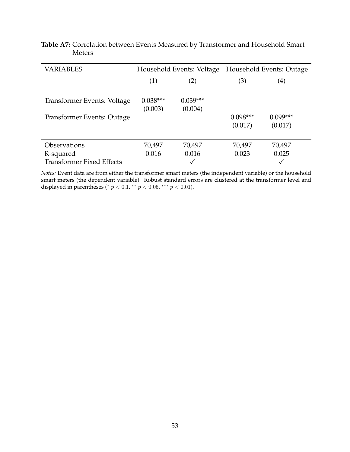<span id="page-53-0"></span>

| <b>Table A7:</b> Correlation between Events Measured by Transformer and Household Smart |  |  |  |
|-----------------------------------------------------------------------------------------|--|--|--|
| <b>Meters</b>                                                                           |  |  |  |

| <b>VARIABLES</b>                 | Household Events: Voltage |                       |                       | Household Events: Outage |
|----------------------------------|---------------------------|-----------------------|-----------------------|--------------------------|
|                                  | (2)<br>(1)                |                       | (3)                   | (4)                      |
| Transformer Events: Voltage      | $0.038***$<br>(0.003)     | $0.039***$<br>(0.004) |                       |                          |
| Transformer Events: Outage       |                           |                       | $0.098***$<br>(0.017) | $0.099***$<br>(0.017)    |
| <b>Observations</b>              | 70,497                    | 70,497                | 70,497                | 70,497                   |
| R-squared                        | 0.016                     | 0.016                 | 0.023                 | 0.025                    |
| <b>Transformer Fixed Effects</b> |                           |                       |                       |                          |

*Notes:* Event data are from either the transformer smart meters (the independent variable) or the household smart meters (the dependent variable). Robust standard errors are clustered at the transformer level and displayed in parentheses (\*  $p < 0.1$ , \*\*  $p < 0.05$ , \*\*\*  $p < 0.01$ ).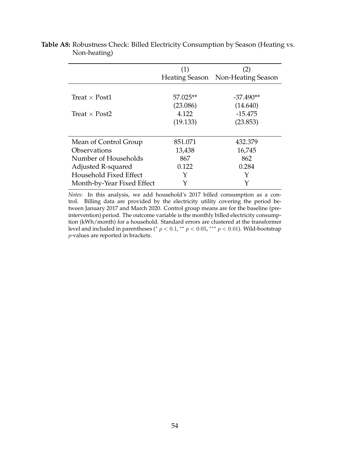|                            | (1)      | $\left( 2\right)$                 |
|----------------------------|----------|-----------------------------------|
|                            |          | Heating Season Non-Heating Season |
|                            |          |                                   |
| Treat $\times$ Post1       | 57.025** | $-37.490**$                       |
|                            | (23.086) | (14.640)                          |
| Treat $\times$ Post2       | 4.122    | $-15.475$                         |
|                            | (19.133) | (23.853)                          |
|                            |          |                                   |
| Mean of Control Group      | 851.071  | 432.379                           |
| Observations               | 13,438   | 16,745                            |
| Number of Households       | 867      | 862                               |
| Adjusted R-squared         | 0.122    | 0.284                             |
| Household Fixed Effect     |          | Y                                 |
| Month-by-Year Fixed Effect |          |                                   |

<span id="page-54-0"></span>**Table A8:** Robustness Check: Billed Electricity Consumption by Season (Heating vs. Non-heating)

*Notes:* In this analysis, we add household's 2017 billed consumption as a control. Billing data are provided by the electricity utility covering the period between January 2017 and March 2020. Control group means are for the baseline (preintervention) period. The outcome variable is the monthly billed electricity consumption (kWh/month) for a household. Standard errors are clustered at the transformer level and included in parentheses (\*  $p < 0.1$ , \*\*  $p < 0.05$ , \*\*\*  $p < 0.01$ ). Wild-bootstrap p-values are reported in brackets.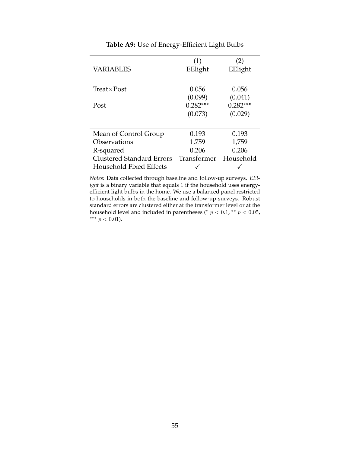<span id="page-55-0"></span>

| <b>VARIABLES</b>                 | (1)<br>EElight | (2)<br>EElight |
|----------------------------------|----------------|----------------|
|                                  |                |                |
| $Treat \times Post$              | 0.056          | 0.056          |
|                                  | (0.099)        | (0.041)        |
| Post                             | $0.282***$     | $0.282***$     |
|                                  | (0.073)        | (0.029)        |
|                                  |                |                |
| Mean of Control Group            | 0.193          | 0.193          |
| Observations                     | 1,759          | 1,759          |
| R-squared                        | 0.206          | 0.206          |
| <b>Clustered Standard Errors</b> | Transformer    | Household      |
| Household Fixed Effects          |                |                |

**Table A9:** Use of Energy-Efficient Light Bulbs

*Notes:* Data collected through baseline and follow-up surveys. *EElight* is a binary variable that equals 1 if the household uses energyefficient light bulbs in the home. We use a balanced panel restricted to households in both the baseline and follow-up surveys. Robust standard errors are clustered either at the transformer level or at the household level and included in parentheses ( $p < 0.1$ ,  $*$  $p < 0.05$ , ∗∗∗ p < 0.01).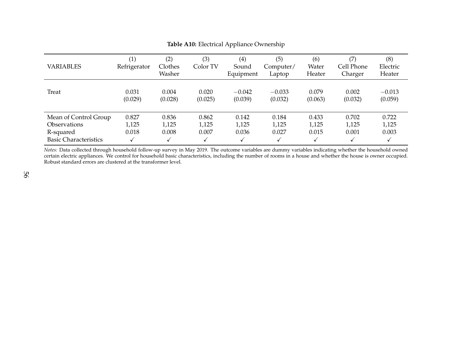| <b>VARIABLES</b>                                                                          | $\left( 1\right)$<br>Refrigerator | (2)<br>Clothes<br>Washer | (3)<br>Color TV         | (4)<br>Sound<br>Equipment | (5)<br>Computer/<br>Laptop | (6)<br>Water<br>Heater  | (7)<br>Cell Phone<br>Charger | (8)<br>Electric<br>Heater    |
|-------------------------------------------------------------------------------------------|-----------------------------------|--------------------------|-------------------------|---------------------------|----------------------------|-------------------------|------------------------------|------------------------------|
| Treat                                                                                     | 0.031<br>(0.029)                  | 0.004<br>(0.028)         | 0.020<br>(0.025)        | $-0.042$<br>(0.039)       | $-0.033$<br>(0.032)        | 0.079<br>(0.063)        | 0.002<br>(0.032)             | $-0.013$<br>(0.059)          |
| Mean of Control Group<br><b>Observations</b><br>R-squared<br><b>Basic Characteristics</b> | 0.827<br>1,125<br>0.018           | 0.836<br>1,125<br>0.008  | 0.862<br>1,125<br>0.007 | 0.142<br>1,125<br>0.036   | 0.184<br>1,125<br>0.027    | 0.433<br>1,125<br>0.015 | 0.702<br>1,125<br>0.001      | 0.722<br>1,125<br>0.003<br>√ |

#### <span id="page-56-0"></span>**Table A10:** Electrical Appliance Ownership

 *Notes:* Data collected through household follow-up survey in May 2019. The outcome variables are dummy variables indicating whether the household owned certain electric appliances. We control for household basic characteristics, including the number of rooms in <sup>a</sup> house and whether the house is owner occupied. Robust standard errors are clustered at the transformer level.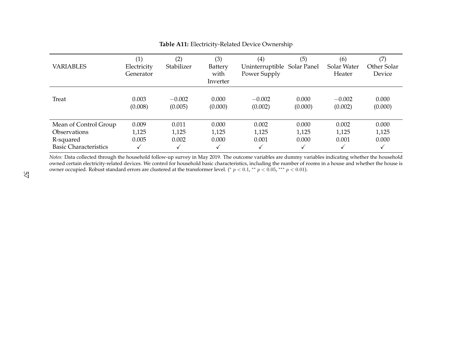| <b>VARIABLES</b>                          | $\left( 1\right)$<br>Electricity<br>Generator | (2)<br>Stabilizer | (3)<br>Battery<br>with<br>Inverter | (4)<br>Uninterruptible Solar Panel<br>Power Supply | (5)        | (6)<br>Solar Water<br>Heater | (7)<br>Other Solar<br>Device |
|-------------------------------------------|-----------------------------------------------|-------------------|------------------------------------|----------------------------------------------------|------------|------------------------------|------------------------------|
| Treat                                     | 0.003                                         | $-0.002$          | 0.000                              | $-0.002$                                           | 0.000      | $-0.002$                     | 0.000                        |
|                                           | (0.008)                                       | (0.005)           | (0.000)                            | (0.002)                                            | (0.000)    | (0.002)                      | (0.000)                      |
| Mean of Control Group                     | 0.009                                         | 0.011             | 0.000                              | 0.002                                              | 0.000      | 0.002                        | 0.000                        |
| <b>Observations</b>                       | 1,125                                         | 1,125             | 1,125                              | 1,125                                              | 1,125      | 1,125                        | 1,125                        |
| R-squared<br><b>Basic Characteristics</b> | 0.005<br>V                                    | 0.002             | 0.000                              | 0.001<br>√                                         | 0.000<br>√ | 0.001                        | 0.000<br>√                   |

#### <span id="page-57-0"></span>**Table A11:** Electricity-Related Device Ownership

 *Notes:* Data collected through the household follow-up survey in May 2019. The outcome variables are dummy variables indicating whether the household owned certain electricity-related devices. We control for household basic characteristics, including the number of rooms in <sup>a</sup> house and whether the house isowner occupied. Robust standard errors are clustered at the transformer level. (\*  $p < 0.1$ , \*\*  $p < 0.05$ , \*\*\*  $p < 0.01$ ).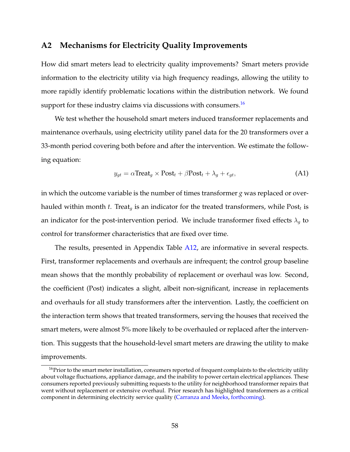## <span id="page-58-0"></span>**A2 Mechanisms for Electricity Quality Improvements**

How did smart meters lead to electricity quality improvements? Smart meters provide information to the electricity utility via high frequency readings, allowing the utility to more rapidly identify problematic locations within the distribution network. We found support for these industry claims via discussions with consumers.<sup>[16](#page-58-1)</sup>

We test whether the household smart meters induced transformer replacements and maintenance overhauls, using electricity utility panel data for the 20 transformers over a 33-month period covering both before and after the intervention. We estimate the following equation:

$$
y_{gt} = \alpha \text{Treeat}_g \times \text{Post}_t + \beta \text{Post}_t + \lambda_g + \epsilon_{gt},\tag{A1}
$$

in which the outcome variable is the number of times transformer *g* was replaced or overhauled within month *t*. Treat<sub>g</sub> is an indicator for the treated transformers, while  $\text{Post}_t$  is an indicator for the post-intervention period. We include transformer fixed effects  $\lambda_q$  to control for transformer characteristics that are fixed over time.

The results, presented in Appendix Table [A12,](#page-60-0) are informative in several respects. First, transformer replacements and overhauls are infrequent; the control group baseline mean shows that the monthly probability of replacement or overhaul was low. Second, the coefficient (Post) indicates a slight, albeit non-significant, increase in replacements and overhauls for all study transformers after the intervention. Lastly, the coefficient on the interaction term shows that treated transformers, serving the houses that received the smart meters, were almost 5% more likely to be overhauled or replaced after the intervention. This suggests that the household-level smart meters are drawing the utility to make improvements.

<span id="page-58-1"></span><sup>&</sup>lt;sup>16</sup>Prior to the smart meter installation, consumers reported of frequent complaints to the electricity utility about voltage fluctuations, appliance damage, and the inability to power certain electrical appliances. These consumers reported previously submitting requests to the utility for neighborhood transformer repairs that went without replacement or extensive overhaul. Prior research has highlighted transformers as a critical component in determining electricity service quality [\(Carranza and Meeks,](#page-29-9) [forthcoming\)](#page-29-9).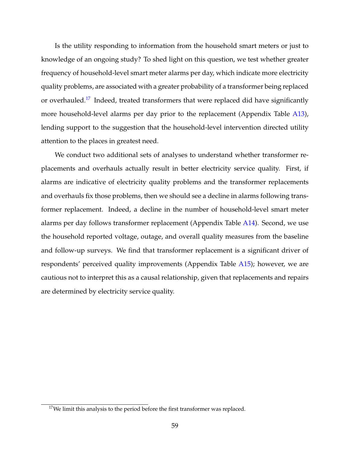Is the utility responding to information from the household smart meters or just to knowledge of an ongoing study? To shed light on this question, we test whether greater frequency of household-level smart meter alarms per day, which indicate more electricity quality problems, are associated with a greater probability of a transformer being replaced or overhauled.<sup>[17](#page-59-0)</sup> Indeed, treated transformers that were replaced did have significantly more household-level alarms per day prior to the replacement (Appendix Table [A13\)](#page-61-0), lending support to the suggestion that the household-level intervention directed utility attention to the places in greatest need.

We conduct two additional sets of analyses to understand whether transformer replacements and overhauls actually result in better electricity service quality. First, if alarms are indicative of electricity quality problems and the transformer replacements and overhauls fix those problems, then we should see a decline in alarms following transformer replacement. Indeed, a decline in the number of household-level smart meter alarms per day follows transformer replacement (Appendix Table [A14\)](#page-62-0). Second, we use the household reported voltage, outage, and overall quality measures from the baseline and follow-up surveys. We find that transformer replacement is a significant driver of respondents' perceived quality improvements (Appendix Table [A15\)](#page-63-0); however, we are cautious not to interpret this as a causal relationship, given that replacements and repairs are determined by electricity service quality.

<span id="page-59-0"></span> $17$ We limit this analysis to the period before the first transformer was replaced.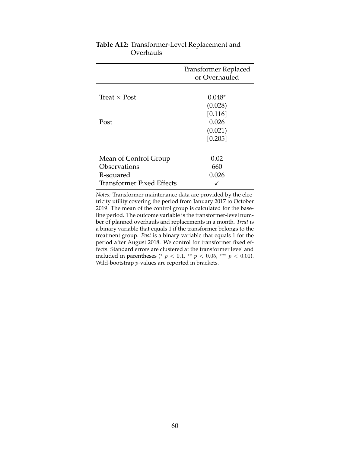|                                  | Transformer Replaced<br>or Overhauled  |
|----------------------------------|----------------------------------------|
| Treat $\times$ Post              | $0.048*$<br>(0.028)                    |
| Post                             | [0.116]<br>0.026<br>(0.021)<br>[0.205] |
|                                  |                                        |
| Mean of Control Group            | 0.02                                   |
| Observations                     | 660                                    |
| R-squared                        | 0.026                                  |
| <b>Transformer Fixed Effects</b> |                                        |

## <span id="page-60-0"></span>**Table A12:** Transformer-Level Replacement and Overhauls

*Notes:* Transformer maintenance data are provided by the electricity utility covering the period from January 2017 to October 2019. The mean of the control group is calculated for the baseline period. The outcome variable is the transformer-level number of planned overhauls and replacements in a month. *Treat* is a binary variable that equals 1 if the transformer belongs to the treatment group. *Post* is a binary variable that equals 1 for the period after August 2018. We control for transformer fixed effects. Standard errors are clustered at the transformer level and included in parentheses (\*  $p < 0.1$ , \*\*  $p < 0.05$ , \*\*\*  $p < 0.01$ ). Wild-bootstrap *p*-values are reported in brackets.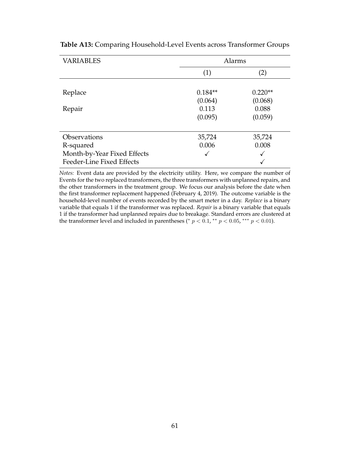| <b>VARIABLES</b>            | Alarms    |           |  |  |
|-----------------------------|-----------|-----------|--|--|
|                             | (1)       | (2)       |  |  |
|                             |           |           |  |  |
| Replace                     | $0.184**$ | $0.220**$ |  |  |
|                             | (0.064)   | (0.068)   |  |  |
| Repair                      | 0.113     | 0.088     |  |  |
|                             | (0.095)   | (0.059)   |  |  |
|                             |           |           |  |  |
| Observations                | 35,724    | 35,724    |  |  |
| R-squared                   | 0.006     | 0.008     |  |  |
| Month-by-Year Fixed Effects | √         | ✓         |  |  |
| Feeder-Line Fixed Effects   |           |           |  |  |

<span id="page-61-0"></span>**Table A13:** Comparing Household-Level Events across Transformer Groups

*Notes:* Event data are provided by the electricity utility. Here, we compare the number of Events for the two replaced transformers, the three transformers with unplanned repairs, and the other transformers in the treatment group. We focus our analysis before the date when the first transformer replacement happened (February 4, 2019). The outcome variable is the household-level number of events recorded by the smart meter in a day. *Replace* is a binary variable that equals 1 if the transformer was replaced. *Repair* is a binary variable that equals 1 if the transformer had unplanned repairs due to breakage. Standard errors are clustered at the transformer level and included in parentheses (\*  $p < 0.1$ , \*\*  $p < 0.05$ , \*\*\*  $p < 0.01$ ).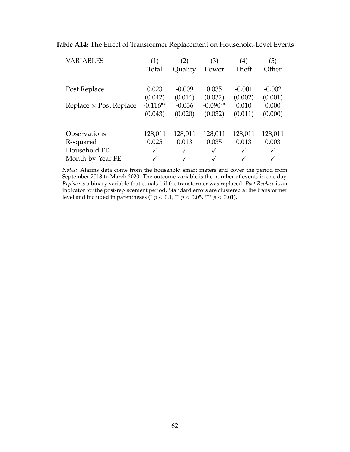| <b>VARIABLES</b>              | (1)        | (2)          | (3)          | $\left( 4\right)$ | (5)      |
|-------------------------------|------------|--------------|--------------|-------------------|----------|
|                               | Total      | Quality      | Power        | Theft             | Other    |
|                               |            |              |              |                   |          |
| Post Replace                  | 0.023      | $-0.009$     | 0.035        | $-0.001$          | $-0.002$ |
|                               | (0.042)    | (0.014)      | (0.032)      | (0.002)           | (0.001)  |
| Replace $\times$ Post Replace | $-0.116**$ | $-0.036$     | $-0.090**$   | 0.010             | 0.000    |
|                               | (0.043)    | (0.020)      | (0.032)      | (0.011)           | (0.000)  |
|                               |            |              |              |                   |          |
| <b>Observations</b>           | 128,011    | 128,011      | 128,011      | 128,011           | 128,011  |
| R-squared                     | 0.025      | 0.013        | 0.035        | 0.013             | 0.003    |
| Household FE                  | ✓          | $\checkmark$ | $\checkmark$ | $\checkmark$      |          |
| Month-by-Year FE              |            | $\checkmark$ |              | $\checkmark$      |          |

<span id="page-62-0"></span>**Table A14:** The Effect of Transformer Replacement on Household-Level Events

*Notes:* Alarms data come from the household smart meters and cover the period from September 2018 to March 2020. The outcome variable is the number of events in one day. *Replace* is a binary variable that equals 1 if the transformer was replaced. *Post Replace* is an indicator for the post-replacement period. Standard errors are clustered at the transformer level and included in parentheses (\*  $p < 0.1$ , \*\*  $p < 0.05$ , \*\*\*  $p < 0.01$ ).